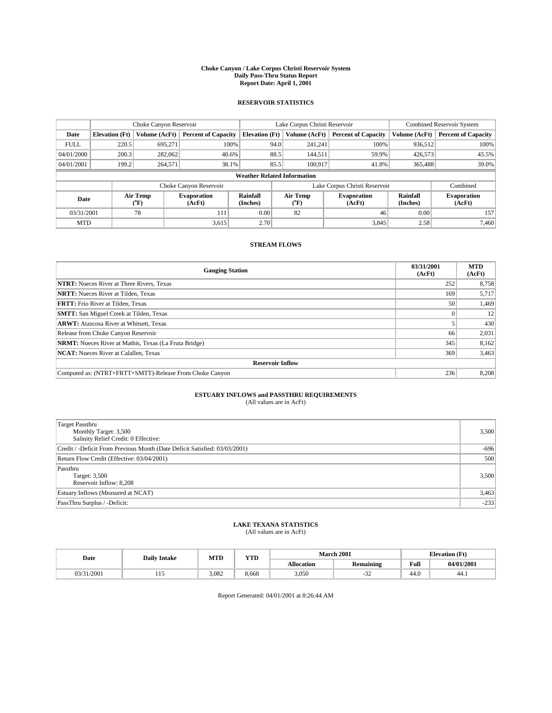#### **Choke Canyon / Lake Corpus Christi Reservoir System Daily Pass-Thru Status Report Report Date: April 1, 2001**

### **RESERVOIR STATISTICS**

|                                    | Choke Canyon Reservoir |                             |                              |                             | Lake Corpus Christi Reservoir | <b>Combined Reservoir System</b> |                             |                              |  |
|------------------------------------|------------------------|-----------------------------|------------------------------|-----------------------------|-------------------------------|----------------------------------|-----------------------------|------------------------------|--|
| Date                               | <b>Elevation</b> (Ft)  | Volume (AcFt)               | <b>Percent of Capacity</b>   | <b>Elevation</b> (Ft)       | Volume (AcFt)                 | <b>Percent of Capacity</b>       | Volume (AcFt)               | <b>Percent of Capacity</b>   |  |
| <b>FULL</b>                        | 220.5                  | 695,271                     | 100%                         | 94.0                        | 241,241                       | 100%                             | 936,512                     | 100%                         |  |
| 04/01/2000                         | 200.3                  | 282,062                     | 40.6%                        | 88.5                        | 144.511                       | 59.9%                            | 426,573                     | 45.5%                        |  |
| 04/01/2001                         | 199.2                  | 264,571                     | 38.1%                        | 85.5                        | 100.917                       | 41.8%                            | 365,488                     | 39.0%                        |  |
| <b>Weather Related Information</b> |                        |                             |                              |                             |                               |                                  |                             |                              |  |
|                                    |                        |                             | Choke Canyon Reservoir       |                             |                               | Lake Corpus Christi Reservoir    |                             | Combined                     |  |
| Date                               |                        | Air Temp<br>${}^{\circ}$ F) | <b>Evaporation</b><br>(AcFt) | <b>Rainfall</b><br>(Inches) | Air Temp<br>("F)              | <b>Evaporation</b><br>(AcFt)     | <b>Rainfall</b><br>(Inches) | <b>Evaporation</b><br>(AcFt) |  |
| 03/31/2001                         |                        | 78                          | 111                          | 0.00                        | 82                            | 46                               | 0.00                        | 157                          |  |
| <b>MTD</b>                         |                        |                             | 3,615                        | 2.70                        |                               | 3,845                            | 2.58                        | 7.460                        |  |

### **STREAM FLOWS**

| <b>Gauging Station</b>                                       | 03/31/2001<br>(AcFt) | <b>MTD</b><br>(AcFt) |  |  |  |  |
|--------------------------------------------------------------|----------------------|----------------------|--|--|--|--|
| <b>NTRT:</b> Nueces River at Three Rivers, Texas             | 252                  | 8,758                |  |  |  |  |
| <b>NRTT:</b> Nueces River at Tilden, Texas                   | 169                  | 5,717                |  |  |  |  |
| <b>FRTT:</b> Frio River at Tilden, Texas                     | 50 <sup>1</sup>      | 1,469                |  |  |  |  |
| <b>SMTT:</b> San Miguel Creek at Tilden, Texas               |                      | 12                   |  |  |  |  |
| <b>ARWT:</b> Atascosa River at Whitsett, Texas               |                      | 430                  |  |  |  |  |
| Release from Choke Canyon Reservoir                          | 66                   | 2,031                |  |  |  |  |
| <b>NRMT:</b> Nueces River at Mathis, Texas (La Fruta Bridge) | 345                  | 8,162                |  |  |  |  |
| <b>NCAT:</b> Nueces River at Calallen, Texas                 | 369                  | 3,463                |  |  |  |  |
| <b>Reservoir Inflow</b>                                      |                      |                      |  |  |  |  |
| Computed as: (NTRT+FRTT+SMTT)-Release From Choke Canyon      | 236                  | 8,208                |  |  |  |  |

# **ESTUARY INFLOWS and PASSTHRU REQUIREMENTS**<br>(All values are in AcFt)

| Target Passthru<br>Monthly Target: 3,500<br>Salinity Relief Credit: 0 Effective: | 3,500  |
|----------------------------------------------------------------------------------|--------|
| Credit / -Deficit From Previous Month (Date Deficit Satisfied: 03/03/2001)       | $-696$ |
| Return Flow Credit (Effective: 03/04/2001)                                       | 500    |
| Passthru<br>Target: 3,500<br>Reservoir Inflow: 8,208                             | 3,500  |
| Estuary Inflows (Measured at NCAT)                                               | 3,463  |
| PassThru Surplus / -Deficit:                                                     | $-233$ |

# **LAKE TEXANA STATISTICS** (All values are in AcFt)

| Date            | <b>Daily Intake</b> | <b>MTD</b> | VTD<br>1 I D |                   | <b>March 2001</b> | <b>Elevation</b> (Ft) |            |
|-----------------|---------------------|------------|--------------|-------------------|-------------------|-----------------------|------------|
|                 |                     |            |              | <b>Allocation</b> | Remaining         | Full                  | 04/01/2001 |
| 1/2001<br>15/51 | .                   | 3.082      | 8.668        | 3,050             | $\sim$<br>ے ب     | 44.U                  | 44.1       |

Report Generated: 04/01/2001 at 8:26:44 AM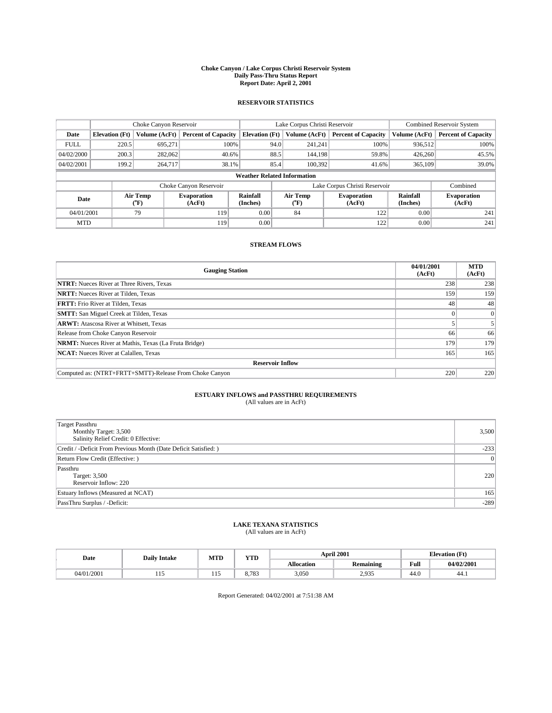#### **Choke Canyon / Lake Corpus Christi Reservoir System Daily Pass-Thru Status Report Report Date: April 2, 2001**

### **RESERVOIR STATISTICS**

|                                    | Choke Canyon Reservoir |                  |                              |                             | Lake Corpus Christi Reservoir | <b>Combined Reservoir System</b> |                      |                              |
|------------------------------------|------------------------|------------------|------------------------------|-----------------------------|-------------------------------|----------------------------------|----------------------|------------------------------|
| Date                               | <b>Elevation</b> (Ft)  | Volume (AcFt)    | <b>Percent of Capacity</b>   | <b>Elevation</b> (Ft)       | Volume (AcFt)                 | <b>Percent of Capacity</b>       | Volume (AcFt)        | <b>Percent of Capacity</b>   |
| <b>FULL</b>                        | 220.5                  | 695,271          | 100%                         |                             | 94.0<br>241,241               | 100%                             | 936.512              | 100%                         |
| 04/02/2000                         | 200.3                  | 282,062          | 40.6%                        |                             | 88.5<br>144.198               | 59.8%                            | 426,260              | 45.5%                        |
| 04/02/2001                         | 199.2                  | 264,717          | 38.1%                        | 85.4                        | 100.392                       | 41.6%                            | 365,109              | 39.0%                        |
| <b>Weather Related Information</b> |                        |                  |                              |                             |                               |                                  |                      |                              |
|                                    |                        |                  | Choke Canyon Reservoir       |                             |                               | Lake Corpus Christi Reservoir    |                      | Combined                     |
| Date                               |                        | Air Temp<br>(°F) | <b>Evaporation</b><br>(AcFt) | <b>Rainfall</b><br>(Inches) | Air Temp<br>("F)              | <b>Evaporation</b><br>(AcFt)     | Rainfall<br>(Inches) | <b>Evaporation</b><br>(AcFt) |
| 04/01/2001                         |                        | 79               | 119                          | 0.00                        | 84                            | 122                              | 0.00                 | 241                          |
| <b>MTD</b>                         |                        |                  | 119                          | 0.00                        |                               | 122                              | 0.00                 | 241                          |

### **STREAM FLOWS**

| <b>Gauging Station</b>                                       | 04/01/2001<br>(AcFt) | <b>MTD</b><br>(AcFt) |  |  |  |  |
|--------------------------------------------------------------|----------------------|----------------------|--|--|--|--|
| <b>NTRT:</b> Nueces River at Three Rivers, Texas             | 238                  | 238                  |  |  |  |  |
| <b>NRTT:</b> Nueces River at Tilden, Texas                   | 159                  | 159                  |  |  |  |  |
| <b>FRTT:</b> Frio River at Tilden, Texas                     | 48                   | 48                   |  |  |  |  |
| <b>SMTT:</b> San Miguel Creek at Tilden, Texas               |                      |                      |  |  |  |  |
| <b>ARWT:</b> Atascosa River at Whitsett, Texas               |                      |                      |  |  |  |  |
| Release from Choke Canyon Reservoir                          | 66                   | 66                   |  |  |  |  |
| <b>NRMT:</b> Nueces River at Mathis, Texas (La Fruta Bridge) | 179                  | 179                  |  |  |  |  |
| <b>NCAT:</b> Nueces River at Calallen, Texas                 | 165                  | 165                  |  |  |  |  |
| <b>Reservoir Inflow</b>                                      |                      |                      |  |  |  |  |
| Computed as: (NTRT+FRTT+SMTT)-Release From Choke Canyon      | 220                  | 220                  |  |  |  |  |

# **ESTUARY INFLOWS and PASSTHRU REQUIREMENTS**<br>(All values are in AcFt)

| <b>Target Passthru</b><br>Monthly Target: 3,500<br>Salinity Relief Credit: 0 Effective: | 3,500  |
|-----------------------------------------------------------------------------------------|--------|
| Credit / -Deficit From Previous Month (Date Deficit Satisfied: )                        | $-233$ |
| Return Flow Credit (Effective:)                                                         | 0      |
| Passthru<br>Target: 3,500<br>Reservoir Inflow: 220                                      | 220    |
| Estuary Inflows (Measured at NCAT)                                                      | 165    |
| PassThru Surplus / -Deficit:                                                            | $-289$ |

# **LAKE TEXANA STATISTICS** (All values are in AcFt)

| Date       | <b>Daily Intake</b> | <b>MTD</b>             | YTD            |                   | <b>April 2001</b> | <b>Elevation</b> (Ft) |            |
|------------|---------------------|------------------------|----------------|-------------------|-------------------|-----------------------|------------|
|            |                     |                        |                | <b>Allocation</b> | <b>Remaining</b>  | Full                  | 04/02/2001 |
| 04/01/2001 | .                   | $\sim$<br>$11 -$<br>__ | 701<br>ده ، .ه | 3,050             | 2,935             | $AA$ $C$<br>44.U      | 44.1       |

Report Generated: 04/02/2001 at 7:51:38 AM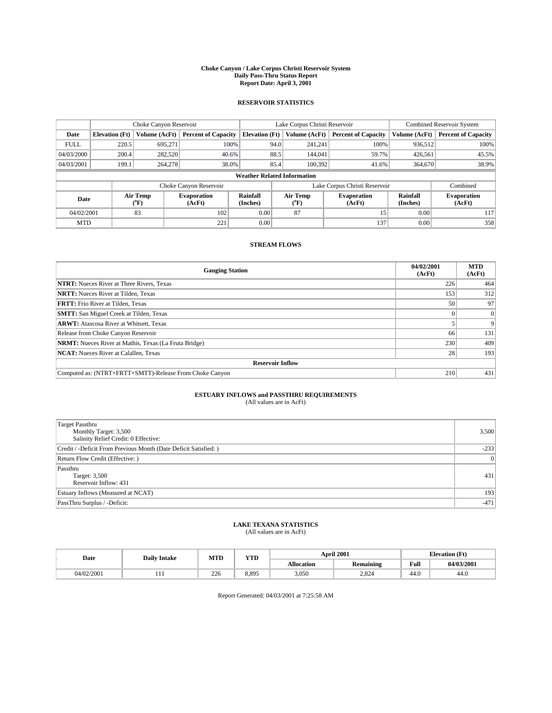#### **Choke Canyon / Lake Corpus Christi Reservoir System Daily Pass-Thru Status Report Report Date: April 3, 2001**

### **RESERVOIR STATISTICS**

|                                    | Choke Canyon Reservoir |                             |                              |                             | Lake Corpus Christi Reservoir | <b>Combined Reservoir System</b> |                      |                              |
|------------------------------------|------------------------|-----------------------------|------------------------------|-----------------------------|-------------------------------|----------------------------------|----------------------|------------------------------|
| Date                               | <b>Elevation</b> (Ft)  | Volume (AcFt)               | <b>Percent of Capacity</b>   | <b>Elevation</b> (Ft)       | Volume (AcFt)                 | <b>Percent of Capacity</b>       | Volume (AcFt)        | <b>Percent of Capacity</b>   |
| <b>FULL</b>                        | 220.5                  | 695,271                     | 100%                         |                             | 94.0<br>241,241               | 100%                             | 936.512              | 100%                         |
| 04/03/2000                         | 200.4                  | 282,520                     | 40.6%                        | 88.5                        | 144,041                       | 59.7%                            | 426,561              | 45.5%                        |
| 04/03/2001                         | 199.1                  | 264,278                     | 38.0%                        | 85.4                        | 100.392                       | 41.6%                            | 364,670              | 38.9%                        |
| <b>Weather Related Information</b> |                        |                             |                              |                             |                               |                                  |                      |                              |
|                                    |                        |                             | Choke Canyon Reservoir       |                             |                               | Lake Corpus Christi Reservoir    |                      | Combined                     |
| Date                               |                        | Air Temp<br>${}^{\circ}$ F) | <b>Evaporation</b><br>(AcFt) | <b>Rainfall</b><br>(Inches) | Air Temp<br>("F)              | <b>Evaporation</b><br>(AcFt)     | Rainfall<br>(Inches) | <b>Evaporation</b><br>(AcFt) |
| 04/02/2001                         |                        | 83                          | 102                          | 0.00                        | 87                            | 15                               | 0.00                 | 117                          |
| <b>MTD</b>                         |                        |                             | 221                          | 0.00                        |                               | 137                              | 0.00                 | 358                          |

### **STREAM FLOWS**

| <b>Gauging Station</b>                                       | 04/02/2001<br>(AcFt) | <b>MTD</b><br>(AcFt) |  |  |  |  |
|--------------------------------------------------------------|----------------------|----------------------|--|--|--|--|
| <b>NTRT:</b> Nueces River at Three Rivers, Texas             | 226                  | 464                  |  |  |  |  |
| <b>NRTT:</b> Nueces River at Tilden, Texas                   | 153                  | 312                  |  |  |  |  |
| <b>FRTT:</b> Frio River at Tilden, Texas                     | 50 <sup>1</sup>      | 97                   |  |  |  |  |
| <b>SMTT:</b> San Miguel Creek at Tilden, Texas               |                      |                      |  |  |  |  |
| <b>ARWT:</b> Atascosa River at Whitsett, Texas               |                      |                      |  |  |  |  |
| Release from Choke Canyon Reservoir                          | 66                   | 131                  |  |  |  |  |
| <b>NRMT:</b> Nueces River at Mathis, Texas (La Fruta Bridge) | 230                  | 409                  |  |  |  |  |
| <b>NCAT:</b> Nueces River at Calallen, Texas                 | 28                   | 193                  |  |  |  |  |
| <b>Reservoir Inflow</b>                                      |                      |                      |  |  |  |  |
| Computed as: (NTRT+FRTT+SMTT)-Release From Choke Canyon      | 210                  | 431                  |  |  |  |  |

# **ESTUARY INFLOWS and PASSTHRU REQUIREMENTS**<br>(All values are in AcFt)

| <b>Target Passthru</b><br>Monthly Target: 3,500<br>Salinity Relief Credit: 0 Effective: | 3,500  |
|-----------------------------------------------------------------------------------------|--------|
| Credit / -Deficit From Previous Month (Date Deficit Satisfied: )                        | $-233$ |
| Return Flow Credit (Effective:)                                                         | 0      |
| Passthru<br>Target: 3,500<br>Reservoir Inflow: 431                                      | 431    |
| Estuary Inflows (Measured at NCAT)                                                      | 193    |
| PassThru Surplus / -Deficit:                                                            | $-471$ |

# **LAKE TEXANA STATISTICS** (All values are in AcFt)

| Date       | <b>Daily Intake</b> | MTD | $\mathbf{v}$<br>1 I D |                   | April 2001              | <b>Elevation (Ft)</b> |            |
|------------|---------------------|-----|-----------------------|-------------------|-------------------------|-----------------------|------------|
|            |                     |     |                       | <b>Allocation</b> | . .<br><b>Remaining</b> | Full                  | 04/03/2001 |
| 04/02/2001 |                     | 226 | 8.895                 | 3,050             | 2,824                   | 44.0                  | -44.6      |

Report Generated: 04/03/2001 at 7:25:58 AM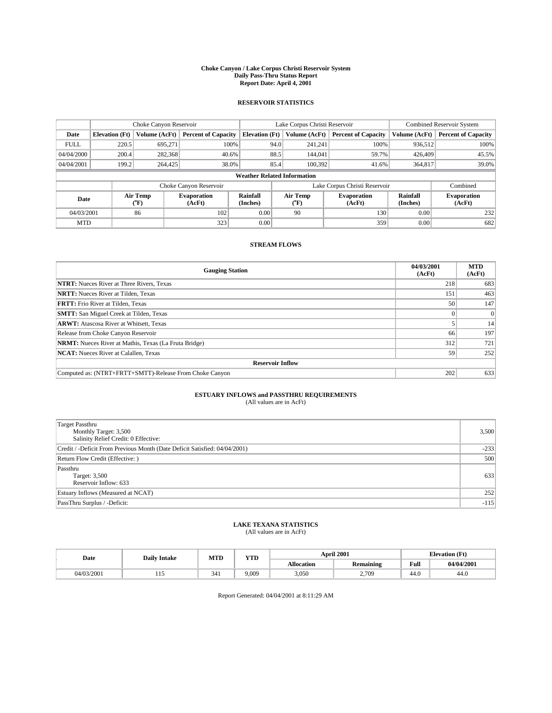#### **Choke Canyon / Lake Corpus Christi Reservoir System Daily Pass-Thru Status Report Report Date: April 4, 2001**

### **RESERVOIR STATISTICS**

|                                    | Choke Canyon Reservoir |                             |                              |                             | Lake Corpus Christi Reservoir | <b>Combined Reservoir System</b> |                      |                              |
|------------------------------------|------------------------|-----------------------------|------------------------------|-----------------------------|-------------------------------|----------------------------------|----------------------|------------------------------|
| Date                               | <b>Elevation</b> (Ft)  | Volume (AcFt)               | <b>Percent of Capacity</b>   | <b>Elevation</b> (Ft)       | Volume (AcFt)                 | <b>Percent of Capacity</b>       | Volume (AcFt)        | <b>Percent of Capacity</b>   |
| <b>FULL</b>                        | 220.5                  | 695,271                     | 100%                         | 94.0                        | 241,241                       | 100%                             | 936.512              | 100%                         |
| 04/04/2000                         | 200.4                  | 282,368                     | 40.6%                        | 88.5                        | 144,041                       | 59.7%                            | 426,409              | 45.5%                        |
| 04/04/2001                         | 199.2                  | 264,425                     | 38.0%                        | 85.4                        | 100.392                       | 41.6%                            | 364,817              | 39.0%                        |
| <b>Weather Related Information</b> |                        |                             |                              |                             |                               |                                  |                      |                              |
|                                    |                        |                             | Choke Canyon Reservoir       |                             |                               | Lake Corpus Christi Reservoir    |                      | Combined                     |
| Date                               |                        | Air Temp<br>${}^{\circ}$ F) | <b>Evaporation</b><br>(AcFt) | <b>Rainfall</b><br>(Inches) | Air Temp<br>("F)              | <b>Evaporation</b><br>(AcFt)     | Rainfall<br>(Inches) | <b>Evaporation</b><br>(AcFt) |
| 04/03/2001                         |                        | 86                          | 102                          | 0.00                        | 90                            | 130                              | 0.00                 | 232                          |
| <b>MTD</b>                         |                        |                             | 323                          | 0.00                        |                               | 359                              | 0.00                 | 682                          |

### **STREAM FLOWS**

| <b>Gauging Station</b>                                       | 04/03/2001<br>(AcFt) | <b>MTD</b><br>(AcFt) |  |  |  |  |
|--------------------------------------------------------------|----------------------|----------------------|--|--|--|--|
| <b>NTRT:</b> Nueces River at Three Rivers, Texas             | 218                  | 683                  |  |  |  |  |
| <b>NRTT:</b> Nueces River at Tilden, Texas                   | 151                  | 463                  |  |  |  |  |
| <b>FRTT:</b> Frio River at Tilden, Texas                     | 50                   | 147                  |  |  |  |  |
| <b>SMTT:</b> San Miguel Creek at Tilden, Texas               |                      |                      |  |  |  |  |
| <b>ARWT:</b> Atascosa River at Whitsett, Texas               |                      | 14                   |  |  |  |  |
| Release from Choke Canyon Reservoir                          | 66                   | 197                  |  |  |  |  |
| <b>NRMT:</b> Nueces River at Mathis, Texas (La Fruta Bridge) | 312                  | 721                  |  |  |  |  |
| <b>NCAT:</b> Nueces River at Calallen, Texas                 | 59                   | 252                  |  |  |  |  |
| <b>Reservoir Inflow</b>                                      |                      |                      |  |  |  |  |
| Computed as: (NTRT+FRTT+SMTT)-Release From Choke Canyon      | 202                  | 633                  |  |  |  |  |

# **ESTUARY INFLOWS and PASSTHRU REQUIREMENTS**<br>(All values are in AcFt)

| <b>Target Passthru</b><br>Monthly Target: 3,500<br>Salinity Relief Credit: 0 Effective: | 3,500  |
|-----------------------------------------------------------------------------------------|--------|
| Credit / -Deficit From Previous Month (Date Deficit Satisfied: 04/04/2001)              | $-233$ |
| Return Flow Credit (Effective:)                                                         | 500    |
| Passthru<br>Target: 3,500<br>Reservoir Inflow: 633                                      | 633    |
| Estuary Inflows (Measured at NCAT)                                                      | 252    |
| PassThru Surplus / -Deficit:                                                            | $-115$ |

# **LAKE TEXANA STATISTICS** (All values are in AcFt)

| Date       | <b>Daily Intake</b> | MTD | <b>WITH</b> |                   | <b>April 2001</b>                        | <b>Elevation</b> (Ft) |            |
|------------|---------------------|-----|-------------|-------------------|------------------------------------------|-----------------------|------------|
|            |                     |     | 1 I D       | <b>Allocation</b> | $\ddot{\phantom{a}}$<br><b>Remaining</b> | Full                  | 04/04/2001 |
| 04/03/2001 | .                   | 341 | 9.009       | 3,050             | 2,709                                    | $\sim$<br>44.U        | 44.U       |

Report Generated: 04/04/2001 at 8:11:29 AM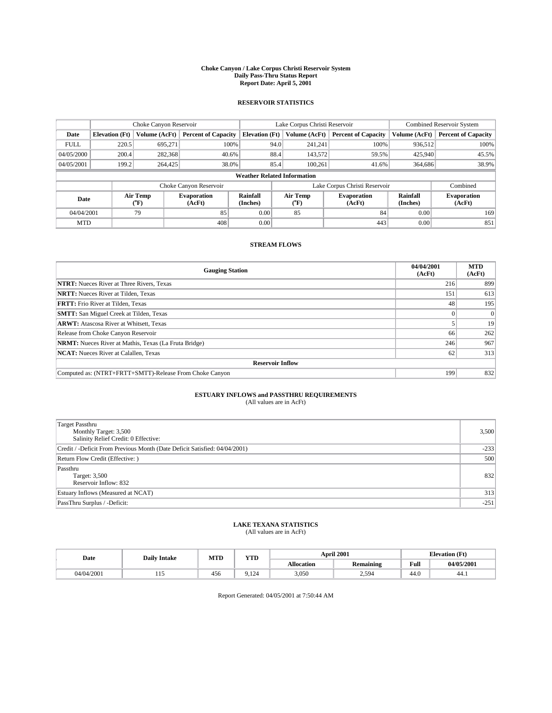#### **Choke Canyon / Lake Corpus Christi Reservoir System Daily Pass-Thru Status Report Report Date: April 5, 2001**

### **RESERVOIR STATISTICS**

|                                    | Choke Canyon Reservoir |                             |                            |                             | Lake Corpus Christi Reservoir |                  |                               |                      | <b>Combined Reservoir System</b> |  |
|------------------------------------|------------------------|-----------------------------|----------------------------|-----------------------------|-------------------------------|------------------|-------------------------------|----------------------|----------------------------------|--|
| Date                               | <b>Elevation</b> (Ft)  | Volume (AcFt)               | <b>Percent of Capacity</b> | <b>Elevation</b> (Ft)       |                               | Volume (AcFt)    | <b>Percent of Capacity</b>    | Volume (AcFt)        | <b>Percent of Capacity</b>       |  |
| <b>FULL</b>                        | 220.5                  | 695.271                     | 100%                       |                             | 94.0                          | 241.241          | 100%                          | 936.512              | 100%                             |  |
| 04/05/2000                         | 200.4                  | 282,368                     | 40.6%                      |                             | 88.4                          | 143,572          | 59.5%                         | 425,940              | 45.5%                            |  |
| 04/05/2001                         | 199.2                  | 264,425                     | 38.0%                      |                             | 85.4                          | 100.261          | 41.6%                         | 364,686              | 38.9%                            |  |
| <b>Weather Related Information</b> |                        |                             |                            |                             |                               |                  |                               |                      |                                  |  |
|                                    |                        |                             | Choke Canyon Reservoir     |                             |                               |                  | Lake Corpus Christi Reservoir |                      | Combined                         |  |
| Date                               |                        | Air Temp<br>${}^{\circ}$ F) | Evaporation<br>(AcFt)      | <b>Rainfall</b><br>(Inches) |                               | Air Temp<br>(°F) | <b>Evaporation</b><br>(AcFt)  | Rainfall<br>(Inches) | <b>Evaporation</b><br>(AcFt)     |  |
| 04/04/2001                         |                        | 79                          | 85                         | 0.00                        |                               | 85               | 84                            | 0.00                 | 169                              |  |
| <b>MTD</b>                         |                        |                             | 408                        | 0.00                        |                               |                  | 443                           | 0.00                 | 851                              |  |

### **STREAM FLOWS**

| <b>Gauging Station</b>                                       | 04/04/2001<br>(AcFt) | <b>MTD</b><br>(AcFt) |  |  |  |  |
|--------------------------------------------------------------|----------------------|----------------------|--|--|--|--|
| <b>NTRT:</b> Nueces River at Three Rivers, Texas             | 216                  | 899                  |  |  |  |  |
| <b>NRTT:</b> Nueces River at Tilden, Texas                   | 151                  | 613                  |  |  |  |  |
| <b>FRTT:</b> Frio River at Tilden, Texas                     | 48                   | 195                  |  |  |  |  |
| <b>SMTT:</b> San Miguel Creek at Tilden, Texas               |                      | $\Omega$             |  |  |  |  |
| <b>ARWT:</b> Atascosa River at Whitsett, Texas               |                      | 19                   |  |  |  |  |
| Release from Choke Canyon Reservoir                          | 66                   | 262                  |  |  |  |  |
| <b>NRMT:</b> Nueces River at Mathis, Texas (La Fruta Bridge) | 246                  | 967                  |  |  |  |  |
| <b>NCAT:</b> Nueces River at Calallen, Texas                 | 62                   | 313                  |  |  |  |  |
| <b>Reservoir Inflow</b>                                      |                      |                      |  |  |  |  |
| Computed as: (NTRT+FRTT+SMTT)-Release From Choke Canyon      | 199                  | 832                  |  |  |  |  |

# **ESTUARY INFLOWS and PASSTHRU REQUIREMENTS**<br>(All values are in AcFt)

| <b>Target Passthru</b><br>Monthly Target: 3,500<br>Salinity Relief Credit: 0 Effective: | 3,500  |
|-----------------------------------------------------------------------------------------|--------|
| Credit / -Deficit From Previous Month (Date Deficit Satisfied: 04/04/2001)              | $-233$ |
| Return Flow Credit (Effective:)                                                         | 500    |
| Passthru<br>Target: 3,500<br>Reservoir Inflow: 832                                      | 832    |
| Estuary Inflows (Measured at NCAT)                                                      | 313    |
| PassThru Surplus / -Deficit:                                                            | $-251$ |

# **LAKE TEXANA STATISTICS** (All values are in AcFt)

| Date       | <b>Daily Intake</b> | MTD | <b>WITH</b>     |                   | <b>April 2001</b> | <b>Elevation</b> (Ft) |            |
|------------|---------------------|-----|-----------------|-------------------|-------------------|-----------------------|------------|
|            |                     |     | 1 I D           | <b>Allocation</b> | <b>Remaining</b>  | Full                  | 04/05/2001 |
| 04/04/2001 | .                   | 456 | $\sim$<br>7.IZ4 | 3,050             | 2,594             | $\sim$<br>44.U        | 44.1       |

Report Generated: 04/05/2001 at 7:50:44 AM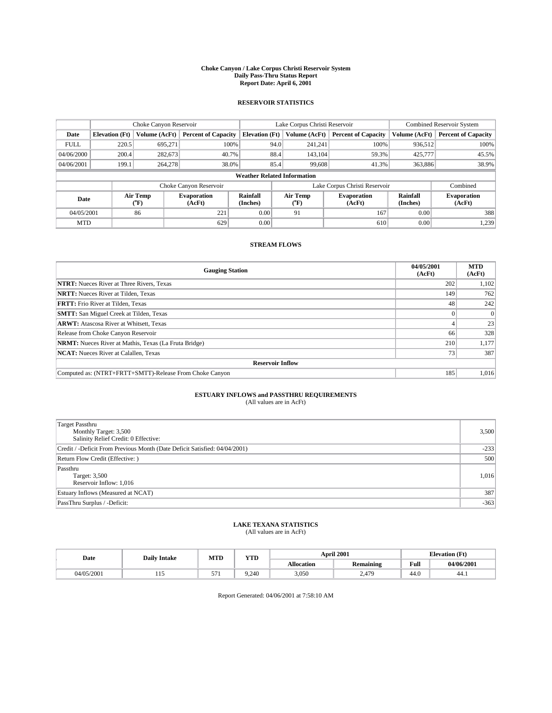#### **Choke Canyon / Lake Corpus Christi Reservoir System Daily Pass-Thru Status Report Report Date: April 6, 2001**

### **RESERVOIR STATISTICS**

|                                                                                                                        | Choke Canyon Reservoir |                              |                            |                              | Lake Corpus Christi Reservoir | <b>Combined Reservoir System</b> |               |                            |
|------------------------------------------------------------------------------------------------------------------------|------------------------|------------------------------|----------------------------|------------------------------|-------------------------------|----------------------------------|---------------|----------------------------|
| Date                                                                                                                   | <b>Elevation</b> (Ft)  | Volume (AcFt)                | <b>Percent of Capacity</b> | <b>Elevation</b> (Ft)        | Volume (AcFt)                 | <b>Percent of Capacity</b>       | Volume (AcFt) | <b>Percent of Capacity</b> |
| <b>FULL</b>                                                                                                            | 220.5                  | 695,271                      | 100%                       | 94.0                         | 241,241                       | 100%                             | 936.512       | 100%                       |
| 04/06/2000                                                                                                             | 200.4                  | 282,673                      | 40.7%                      | 88.4                         | 143,104                       | 59.3%                            | 425,777       | 45.5%                      |
| 04/06/2001                                                                                                             | 199.1                  | 264,278                      | 38.0%                      | 85.4                         | 99,608                        | 41.3%                            | 363,886       | 38.9%                      |
| <b>Weather Related Information</b>                                                                                     |                        |                              |                            |                              |                               |                                  |               |                            |
|                                                                                                                        |                        |                              | Choke Canyon Reservoir     |                              |                               | Lake Corpus Christi Reservoir    |               | Combined                   |
| Air Temp<br>Air Temp<br><b>Rainfall</b><br><b>Evaporation</b><br>Date<br>(Inches)<br>(AcFt)<br>${}^{\circ}$ F)<br>("F) |                        | <b>Evaporation</b><br>(AcFt) | Rainfall<br>(Inches)       | <b>Evaporation</b><br>(AcFt) |                               |                                  |               |                            |
| 04/05/2001                                                                                                             |                        | 86                           | 221                        | 0.00                         | 91                            | 167                              | 0.00          | 388                        |
| <b>MTD</b>                                                                                                             |                        |                              | 629                        | 0.00                         |                               | 610                              | 0.00          | 1,239                      |

### **STREAM FLOWS**

| <b>Gauging Station</b>                                       | 04/05/2001<br>(AcFt) | <b>MTD</b><br>(AcFt) |  |  |  |
|--------------------------------------------------------------|----------------------|----------------------|--|--|--|
| <b>NTRT:</b> Nueces River at Three Rivers, Texas             | 202                  | 1,102                |  |  |  |
| <b>NRTT:</b> Nueces River at Tilden, Texas                   | 149                  | 762                  |  |  |  |
| <b>FRTT:</b> Frio River at Tilden, Texas                     | 48                   | 242                  |  |  |  |
| <b>SMTT:</b> San Miguel Creek at Tilden, Texas               |                      |                      |  |  |  |
| <b>ARWT:</b> Atascosa River at Whitsett, Texas               |                      | 23                   |  |  |  |
| Release from Choke Canyon Reservoir                          | 66                   | 328                  |  |  |  |
| <b>NRMT:</b> Nueces River at Mathis, Texas (La Fruta Bridge) | 210                  | 1,177                |  |  |  |
| <b>NCAT:</b> Nueces River at Calallen, Texas                 | 73 <sub>1</sub>      | 387                  |  |  |  |
| <b>Reservoir Inflow</b>                                      |                      |                      |  |  |  |
| Computed as: (NTRT+FRTT+SMTT)-Release From Choke Canyon      | 185                  | 1,016                |  |  |  |

# **ESTUARY INFLOWS and PASSTHRU REQUIREMENTS**<br>(All values are in AcFt)

| <b>Target Passthru</b><br>Monthly Target: 3,500<br>Salinity Relief Credit: 0 Effective: | 3,500  |
|-----------------------------------------------------------------------------------------|--------|
| Credit / -Deficit From Previous Month (Date Deficit Satisfied: 04/04/2001)              | $-233$ |
| Return Flow Credit (Effective:)                                                         | 500    |
| Passthru<br>Target: 3,500<br>Reservoir Inflow: 1,016                                    | 1,016  |
| Estuary Inflows (Measured at NCAT)                                                      | 387    |
| PassThru Surplus / -Deficit:                                                            | $-363$ |

# **LAKE TEXANA STATISTICS** (All values are in AcFt)

| Date       | <b>Daily Intake</b> | <b>MTD</b> | VTT<br>1 I D | <b>April 2001</b> |                |      | <b>Elevation</b> (Ft) |  |
|------------|---------------------|------------|--------------|-------------------|----------------|------|-----------------------|--|
|            |                     |            |              | <b>Allocation</b> | Remaining      | Full | 04/06/2001            |  |
| 04/05/2001 | .                   | .          | 9.240        | 3,050             | $2,47^{\circ}$ | 44.U | 44.1                  |  |

Report Generated: 04/06/2001 at 7:58:10 AM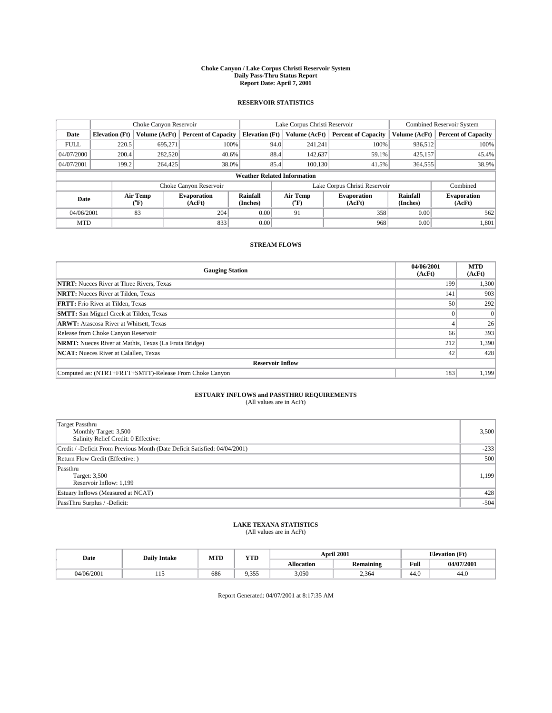#### **Choke Canyon / Lake Corpus Christi Reservoir System Daily Pass-Thru Status Report Report Date: April 7, 2001**

### **RESERVOIR STATISTICS**

|             | Choke Canyon Reservoir             |                                                                                                                                                |                            |                       | Lake Corpus Christi Reservoir | <b>Combined Reservoir System</b> |               |                            |  |
|-------------|------------------------------------|------------------------------------------------------------------------------------------------------------------------------------------------|----------------------------|-----------------------|-------------------------------|----------------------------------|---------------|----------------------------|--|
| Date        | <b>Elevation</b> (Ft)              | Volume (AcFt)                                                                                                                                  | <b>Percent of Capacity</b> | <b>Elevation</b> (Ft) | Volume (AcFt)                 | <b>Percent of Capacity</b>       | Volume (AcFt) | <b>Percent of Capacity</b> |  |
| <b>FULL</b> | 220.5                              | 695,271                                                                                                                                        | 100%                       | 94.0                  | 241,241                       | 100%                             | 936.512       | 100%                       |  |
| 04/07/2000  | 200.4                              | 282,520                                                                                                                                        | 40.6%                      | 88.4                  | 142,637                       | 59.1%                            | 425,157       | 45.4%                      |  |
| 04/07/2001  | 199.2                              | 264,425                                                                                                                                        | 38.0%                      | 85.4                  | 100.130                       | 41.5%                            | 364,555       | 38.9%                      |  |
|             | <b>Weather Related Information</b> |                                                                                                                                                |                            |                       |                               |                                  |               |                            |  |
|             |                                    |                                                                                                                                                | Choke Canyon Reservoir     |                       |                               | Lake Corpus Christi Reservoir    |               | Combined                   |  |
| Date        |                                    | Air Temp<br>Air Temp<br><b>Rainfall</b><br><b>Evaporation</b><br><b>Evaporation</b><br>(Inches)<br>(AcFt)<br>${}^{\circ}$ F)<br>(AcFt)<br>("F) |                            |                       | Rainfall<br>(Inches)          | <b>Evaporation</b><br>(AcFt)     |               |                            |  |
| 04/06/2001  |                                    | 83                                                                                                                                             | 204                        | 0.00                  | 91                            | 358                              | 0.00          | 562                        |  |
| <b>MTD</b>  |                                    |                                                                                                                                                | 833                        | 0.00                  |                               | 968                              | 0.00          | 1,801                      |  |

### **STREAM FLOWS**

| <b>Gauging Station</b>                                       | 04/06/2001<br>(AcFt) | <b>MTD</b><br>(AcFt) |  |  |  |
|--------------------------------------------------------------|----------------------|----------------------|--|--|--|
| <b>NTRT:</b> Nueces River at Three Rivers, Texas             | 199                  | 1,300                |  |  |  |
| <b>NRTT:</b> Nueces River at Tilden, Texas                   | 141                  | 903                  |  |  |  |
| <b>FRTT:</b> Frio River at Tilden, Texas                     | 50                   | 292                  |  |  |  |
| <b>SMTT:</b> San Miguel Creek at Tilden, Texas               |                      |                      |  |  |  |
| <b>ARWT:</b> Atascosa River at Whitsett, Texas               |                      | 26                   |  |  |  |
| Release from Choke Canyon Reservoir                          | 66                   | 393                  |  |  |  |
| <b>NRMT:</b> Nueces River at Mathis, Texas (La Fruta Bridge) | 212                  | 1,390                |  |  |  |
| <b>NCAT:</b> Nueces River at Calallen, Texas                 | 42                   | 428                  |  |  |  |
| <b>Reservoir Inflow</b>                                      |                      |                      |  |  |  |
| Computed as: (NTRT+FRTT+SMTT)-Release From Choke Canyon      | 183                  | 1.199                |  |  |  |

# **ESTUARY INFLOWS and PASSTHRU REQUIREMENTS**<br>(All values are in AcFt)

| <b>Target Passthru</b><br>Monthly Target: 3,500<br>Salinity Relief Credit: 0 Effective: | 3,500  |
|-----------------------------------------------------------------------------------------|--------|
| Credit / -Deficit From Previous Month (Date Deficit Satisfied: 04/04/2001)              | $-233$ |
| Return Flow Credit (Effective:)                                                         | 500    |
| Passthru<br>Target: 3,500<br>Reservoir Inflow: 1,199                                    | 1,199  |
| Estuary Inflows (Measured at NCAT)                                                      | 428    |
| PassThru Surplus / -Deficit:                                                            | $-504$ |

# **LAKE TEXANA STATISTICS** (All values are in AcFt)

| Date       | <b>Daily Intake</b> | <b>MTD</b> | VTF<br>1 I D    | April 2001        |           |      | <b>Elevation</b> (Ft) |  |
|------------|---------------------|------------|-----------------|-------------------|-----------|------|-----------------------|--|
|            |                     |            |                 | <b>Allocation</b> | Remaining | Full | 04/07/2001            |  |
| 04/06/2001 | .                   | 686        | 0355<br>ر ر ر . | 3,050             | 2,364     | 44.U | 44.U                  |  |

Report Generated: 04/07/2001 at 8:17:35 AM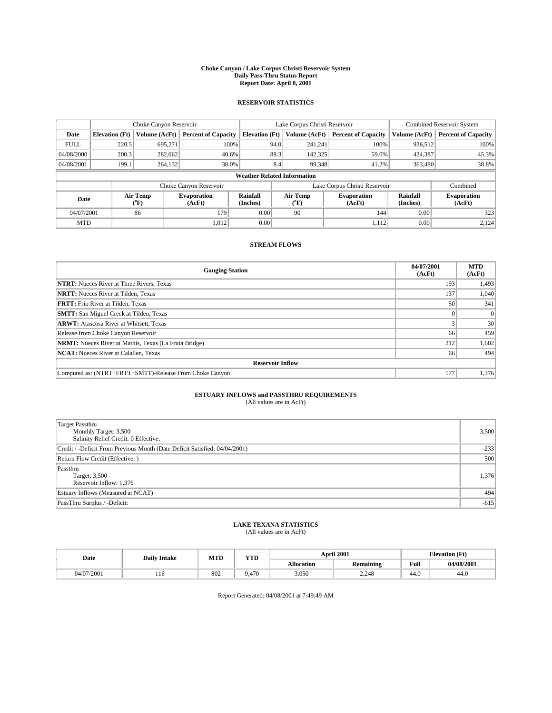#### **Choke Canyon / Lake Corpus Christi Reservoir System Daily Pass-Thru Status Report Report Date: April 8, 2001**

### **RESERVOIR STATISTICS**

|                                    | Choke Canyon Reservoir                                                                               |               |                              |                       | Lake Corpus Christi Reservoir |               |                               |               | <b>Combined Reservoir System</b> |  |
|------------------------------------|------------------------------------------------------------------------------------------------------|---------------|------------------------------|-----------------------|-------------------------------|---------------|-------------------------------|---------------|----------------------------------|--|
| Date                               | <b>Elevation</b> (Ft)                                                                                | Volume (AcFt) | <b>Percent of Capacity</b>   | <b>Elevation</b> (Ft) |                               | Volume (AcFt) | <b>Percent of Capacity</b>    | Volume (AcFt) | <b>Percent of Capacity</b>       |  |
| <b>FULL</b>                        | 220.5                                                                                                | 695.271       | 100%                         |                       | 94.0                          | 241,241       | 100%                          | 936.512       | 100%                             |  |
| 04/08/2000                         | 200.3                                                                                                | 282,062       | 40.6%                        |                       | 88.3                          | 142,325       | 59.0%                         | 424,387       | 45.3%                            |  |
| 04/08/2001                         | 199.1                                                                                                | 264,132       | 38.0%                        |                       | 8.4                           | 99.348        | 41.2%                         | 363,480       | 38.8%                            |  |
| <b>Weather Related Information</b> |                                                                                                      |               |                              |                       |                               |               |                               |               |                                  |  |
|                                    |                                                                                                      |               | Choke Canyon Reservoir       |                       |                               |               | Lake Corpus Christi Reservoir |               | Combined                         |  |
|                                    | Air Temp<br>Rainfall<br>Air Temp<br><b>Evaporation</b><br>Date<br>(Inches)<br>(°F)<br>(AcFt)<br>("F) |               | <b>Evaporation</b><br>(AcFt) | Rainfall<br>(Inches)  | <b>Evaporation</b><br>(AcFt)  |               |                               |               |                                  |  |
| 04/07/2001                         |                                                                                                      | 86            | 179                          | 0.00                  |                               | 90            | 144                           | 0.00          | 323                              |  |
| <b>MTD</b>                         |                                                                                                      |               | 1,012                        | 0.00                  |                               |               | 1,112                         | 0.00          | 2,124                            |  |

### **STREAM FLOWS**

| <b>Gauging Station</b>                                       | 04/07/2001<br>(AcFt) | <b>MTD</b><br>(AcFt) |  |  |  |  |
|--------------------------------------------------------------|----------------------|----------------------|--|--|--|--|
| <b>NTRT:</b> Nueces River at Three Rivers, Texas             | 193                  | 1,493                |  |  |  |  |
| <b>NRTT:</b> Nueces River at Tilden, Texas                   | 137                  | 1.040                |  |  |  |  |
| <b>FRTT:</b> Frio River at Tilden, Texas                     | 50                   | 341                  |  |  |  |  |
| <b>SMTT:</b> San Miguel Creek at Tilden, Texas               |                      | $\Omega$             |  |  |  |  |
| <b>ARWT:</b> Atascosa River at Whitsett, Texas               |                      | 30                   |  |  |  |  |
| Release from Choke Canyon Reservoir                          | 66                   | 459                  |  |  |  |  |
| <b>NRMT:</b> Nueces River at Mathis, Texas (La Fruta Bridge) | 212                  | 1,602                |  |  |  |  |
| <b>NCAT:</b> Nueces River at Calallen, Texas                 | 66                   | 494                  |  |  |  |  |
| <b>Reservoir Inflow</b>                                      |                      |                      |  |  |  |  |
| Computed as: (NTRT+FRTT+SMTT)-Release From Choke Canyon      | 177                  | 1,376                |  |  |  |  |

# **ESTUARY INFLOWS and PASSTHRU REQUIREMENTS**<br>(All values are in AcFt)

| <b>Target Passthru</b><br>Monthly Target: 3,500<br>Salinity Relief Credit: 0 Effective: | 3,500  |
|-----------------------------------------------------------------------------------------|--------|
| Credit / -Deficit From Previous Month (Date Deficit Satisfied: 04/04/2001)              | $-233$ |
| Return Flow Credit (Effective:)                                                         | 500    |
| Passthru<br>Target: 3,500<br>Reservoir Inflow: 1,376                                    | 1,376  |
| Estuary Inflows (Measured at NCAT)                                                      | 494    |
| PassThru Surplus / -Deficit:                                                            | $-615$ |

# **LAKE TEXANA STATISTICS** (All values are in AcFt)

| Date       | <b>Daily Intake</b> | MTD | <b>WITH</b> |                   | <b>April 2001</b>       | <b>Elevation</b> (Ft) |            |
|------------|---------------------|-----|-------------|-------------------|-------------------------|-----------------------|------------|
|            |                     |     | 1 I D       | <b>Allocation</b> | . .<br><b>Remaining</b> | Full                  | 04/08/2001 |
| 04/07/2001 | 4.IO                | 802 | 9.470       | 3,050             | 2,248                   | $\sim$<br>44.O        | 44.U       |

Report Generated: 04/08/2001 at 7:49:49 AM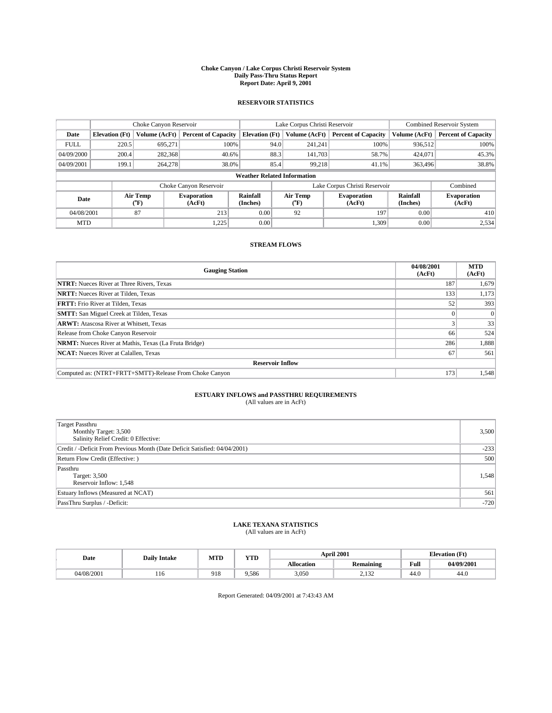#### **Choke Canyon / Lake Corpus Christi Reservoir System Daily Pass-Thru Status Report Report Date: April 9, 2001**

### **RESERVOIR STATISTICS**

|                                                                                                                        | Choke Canyon Reservoir             |               |                              |                             | Lake Corpus Christi Reservoir | <b>Combined Reservoir System</b> |               |                            |  |
|------------------------------------------------------------------------------------------------------------------------|------------------------------------|---------------|------------------------------|-----------------------------|-------------------------------|----------------------------------|---------------|----------------------------|--|
| Date                                                                                                                   | <b>Elevation</b> (Ft)              | Volume (AcFt) | <b>Percent of Capacity</b>   | <b>Elevation</b> (Ft)       | Volume (AcFt)                 | <b>Percent of Capacity</b>       | Volume (AcFt) | <b>Percent of Capacity</b> |  |
| <b>FULL</b>                                                                                                            | 220.5                              | 695,271       | 100%                         | 94.0                        | 241,241                       | 100%                             | 936,512       | 100%                       |  |
| 04/09/2000                                                                                                             | 200.4                              | 282,368       | 40.6%                        | 88.3                        | 141,703                       | 58.7%                            | 424,071       | 45.3%                      |  |
| 04/09/2001                                                                                                             | 199.1                              | 264,278       | 38.0%                        | 85.4                        | 99,218                        | 41.1%                            | 363,496       | 38.8%                      |  |
|                                                                                                                        | <b>Weather Related Information</b> |               |                              |                             |                               |                                  |               |                            |  |
|                                                                                                                        |                                    |               | Choke Canyon Reservoir       |                             |                               | Lake Corpus Christi Reservoir    |               | Combined                   |  |
| Air Temp<br>Air Temp<br><b>Rainfall</b><br><b>Evaporation</b><br>Date<br>(Inches)<br>(AcFt)<br>${}^{\circ}$ F)<br>("F) |                                    |               | <b>Evaporation</b><br>(AcFt) | <b>Rainfall</b><br>(Inches) | <b>Evaporation</b><br>(AcFt)  |                                  |               |                            |  |
| 04/08/2001                                                                                                             |                                    | 87            | 213                          | 0.00                        | 92                            | 197                              | 0.00          | 410                        |  |
| <b>MTD</b>                                                                                                             |                                    |               | .225                         | 0.00                        |                               | 1.309                            | 0.00          | 2,534                      |  |

### **STREAM FLOWS**

| <b>Gauging Station</b>                                       | 04/08/2001<br>(AcFt) | <b>MTD</b><br>(AcFt) |  |  |  |  |
|--------------------------------------------------------------|----------------------|----------------------|--|--|--|--|
| <b>NTRT:</b> Nueces River at Three Rivers, Texas             | 187                  | 1,679                |  |  |  |  |
| <b>NRTT:</b> Nueces River at Tilden, Texas                   | 133                  | 1,173                |  |  |  |  |
| <b>FRTT:</b> Frio River at Tilden, Texas                     | 52                   | 393                  |  |  |  |  |
| <b>SMTT:</b> San Miguel Creek at Tilden, Texas               |                      |                      |  |  |  |  |
| <b>ARWT:</b> Atascosa River at Whitsett, Texas               |                      | 33                   |  |  |  |  |
| Release from Choke Canyon Reservoir                          | 66                   | 524                  |  |  |  |  |
| <b>NRMT:</b> Nueces River at Mathis, Texas (La Fruta Bridge) | 286                  | 1,888                |  |  |  |  |
| <b>NCAT:</b> Nueces River at Calallen, Texas                 | 67                   | 561                  |  |  |  |  |
| <b>Reservoir Inflow</b>                                      |                      |                      |  |  |  |  |
| Computed as: (NTRT+FRTT+SMTT)-Release From Choke Canyon      | 173                  | 1,548                |  |  |  |  |

# **ESTUARY INFLOWS and PASSTHRU REQUIREMENTS**<br>(All values are in AcFt)

| <b>Target Passthru</b><br>Monthly Target: 3,500<br>Salinity Relief Credit: 0 Effective: | 3,500  |
|-----------------------------------------------------------------------------------------|--------|
| Credit / -Deficit From Previous Month (Date Deficit Satisfied: 04/04/2001)              | $-233$ |
| Return Flow Credit (Effective:)                                                         | 500    |
| Passthru<br>Target: 3,500<br>Reservoir Inflow: 1,548                                    | 1,548  |
| Estuary Inflows (Measured at NCAT)                                                      | 561    |
| PassThru Surplus / -Deficit:                                                            | $-720$ |

# **LAKE TEXANA STATISTICS** (All values are in AcFt)

| Date       | <b>Daily Intake</b> | MTD | <b>WITH</b><br>1 I D |                   | <b>April 2001</b>       | <b>Elevation</b> (Ft) |            |
|------------|---------------------|-----|----------------------|-------------------|-------------------------|-----------------------|------------|
|            |                     |     |                      | <b>Allocation</b> | . .<br><b>Remaining</b> | Full                  | 04/09/2001 |
| 04/08/2001 | $10-1$              | 918 | 9.586                | 3,050             | 2,132                   | $\sim$<br>44.O        | 44.U       |

Report Generated: 04/09/2001 at 7:43:43 AM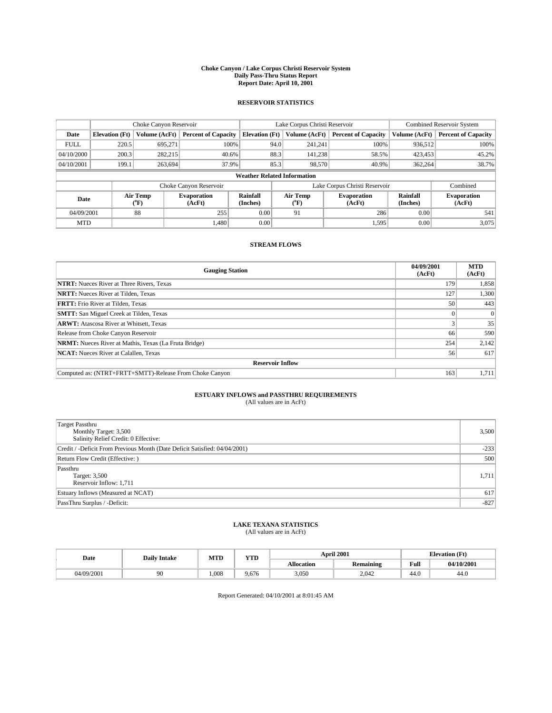#### **Choke Canyon / Lake Corpus Christi Reservoir System Daily Pass-Thru Status Report Report Date: April 10, 2001**

### **RESERVOIR STATISTICS**

|             | Choke Canyon Reservoir                                              |                  |                              |                             | Lake Corpus Christi Reservoir | <b>Combined Reservoir System</b> |                      |                              |  |
|-------------|---------------------------------------------------------------------|------------------|------------------------------|-----------------------------|-------------------------------|----------------------------------|----------------------|------------------------------|--|
| Date        | <b>Elevation</b> (Ft)                                               | Volume (AcFt)    | <b>Percent of Capacity</b>   | <b>Elevation</b> (Ft)       | Volume (AcFt)                 | <b>Percent of Capacity</b>       | Volume (AcFt)        | <b>Percent of Capacity</b>   |  |
| <b>FULL</b> | 220.5                                                               | 695,271          | 100%                         | 94.0                        | 241,241                       | 100%                             | 936,512              | 100%                         |  |
| 04/10/2000  | 200.3                                                               | 282,215          | 40.6%                        | 88.3                        | 141,238                       | 58.5%                            | 423,453              | 45.2%                        |  |
| 04/10/2001  | 199.1                                                               | 263,694          | 37.9%                        | 85.3                        | 98,570                        | 40.9%                            | 362,264              | 38.7%                        |  |
|             | <b>Weather Related Information</b>                                  |                  |                              |                             |                               |                                  |                      |                              |  |
|             | Combined<br>Choke Canyon Reservoir<br>Lake Corpus Christi Reservoir |                  |                              |                             |                               |                                  |                      |                              |  |
| Date        |                                                                     | Air Temp<br>(°F) | <b>Evaporation</b><br>(AcFt) | <b>Rainfall</b><br>(Inches) | Air Temp<br>("F)              | <b>Evaporation</b><br>(AcFt)     | Rainfall<br>(Inches) | <b>Evaporation</b><br>(AcFt) |  |
| 04/09/2001  |                                                                     | 88               | 255                          | 0.00                        | 91                            | 286                              | 0.00                 | 541                          |  |
| <b>MTD</b>  |                                                                     |                  | 1.480                        | 0.00                        |                               | 1,595                            | 0.00                 | 3,075                        |  |

### **STREAM FLOWS**

| <b>Gauging Station</b>                                       | 04/09/2001<br>(AcFt) | <b>MTD</b><br>(AcFt) |  |  |  |  |
|--------------------------------------------------------------|----------------------|----------------------|--|--|--|--|
| <b>NTRT:</b> Nueces River at Three Rivers, Texas             | 179                  | 1,858                |  |  |  |  |
| <b>NRTT:</b> Nueces River at Tilden, Texas                   | 127                  | 1,300                |  |  |  |  |
| <b>FRTT:</b> Frio River at Tilden, Texas                     | 50                   | 443                  |  |  |  |  |
| <b>SMTT:</b> San Miguel Creek at Tilden, Texas               |                      |                      |  |  |  |  |
| <b>ARWT:</b> Atascosa River at Whitsett, Texas               |                      | 35                   |  |  |  |  |
| Release from Choke Canyon Reservoir                          | 66                   | 590                  |  |  |  |  |
| <b>NRMT:</b> Nueces River at Mathis, Texas (La Fruta Bridge) | 254                  | 2,142                |  |  |  |  |
| <b>NCAT:</b> Nueces River at Calallen, Texas                 | 56                   | 617                  |  |  |  |  |
| <b>Reservoir Inflow</b>                                      |                      |                      |  |  |  |  |
| Computed as: (NTRT+FRTT+SMTT)-Release From Choke Canyon      | 163                  | 1,711                |  |  |  |  |

# **ESTUARY INFLOWS and PASSTHRU REQUIREMENTS**<br>(All values are in AcFt)

| <b>Target Passthru</b><br>Monthly Target: 3,500<br>Salinity Relief Credit: 0 Effective: | 3,500  |
|-----------------------------------------------------------------------------------------|--------|
| Credit / -Deficit From Previous Month (Date Deficit Satisfied: 04/04/2001)              | $-233$ |
| Return Flow Credit (Effective:)                                                         | 500    |
| Passthru<br>Target: 3,500<br>Reservoir Inflow: 1,711                                    | 1,711  |
| Estuary Inflows (Measured at NCAT)                                                      | 617    |
| PassThru Surplus / -Deficit:                                                            | $-827$ |

# **LAKE TEXANA STATISTICS** (All values are in AcFt)

| Date       | <b>Daily Intake</b> | MTD  | $\mathbf{v}$<br>1 I D |                   | April 2001       | <b>Elevation (Ft)</b> |            |
|------------|---------------------|------|-----------------------|-------------------|------------------|-----------------------|------------|
|            |                     |      |                       | <b>Allocation</b> | . .<br>Remaining | Full                  | 04/10/2001 |
| 04/09/2001 |                     | ,008 | 9.676                 | 3,050             | 2,042            | 44.0                  | 44.0       |

Report Generated: 04/10/2001 at 8:01:45 AM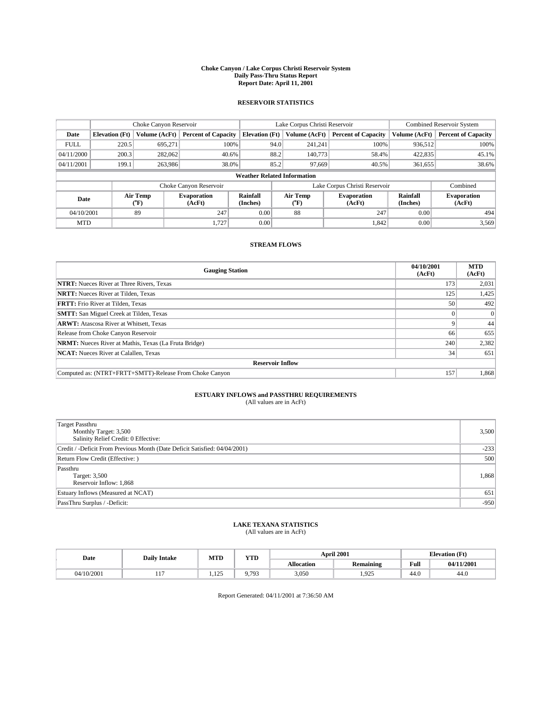#### **Choke Canyon / Lake Corpus Christi Reservoir System Daily Pass-Thru Status Report Report Date: April 11, 2001**

### **RESERVOIR STATISTICS**

|                                    | Choke Canyon Reservoir                                              |                  |                              |                       | Lake Corpus Christi Reservoir | <b>Combined Reservoir System</b> |                      |                              |  |
|------------------------------------|---------------------------------------------------------------------|------------------|------------------------------|-----------------------|-------------------------------|----------------------------------|----------------------|------------------------------|--|
| Date                               | <b>Elevation</b> (Ft)                                               | Volume (AcFt)    | <b>Percent of Capacity</b>   | <b>Elevation</b> (Ft) | Volume (AcFt)                 | <b>Percent of Capacity</b>       | Volume (AcFt)        | <b>Percent of Capacity</b>   |  |
| <b>FULL</b>                        | 220.5                                                               | 695,271          | 100%                         |                       | 94.0<br>241,241               | 100%                             | 936,512              | 100%                         |  |
| 04/11/2000                         | 200.3                                                               | 282,062          | 40.6%                        |                       | 88.2<br>140,773               | 58.4%                            | 422,835              | 45.1%                        |  |
| 04/11/2001                         | 199.1                                                               | 263,986          | 38.0%                        |                       | 85.2<br>97.669                | 40.5%                            | 361,655              | 38.6%                        |  |
| <b>Weather Related Information</b> |                                                                     |                  |                              |                       |                               |                                  |                      |                              |  |
|                                    | Lake Corpus Christi Reservoir<br>Combined<br>Choke Canyon Reservoir |                  |                              |                       |                               |                                  |                      |                              |  |
| Date                               |                                                                     | Air Temp<br>(°F) | <b>Evaporation</b><br>(AcFt) | Rainfall<br>(Inches)  | Air Temp<br>$^{\circ}$ F)     | <b>Evaporation</b><br>(AcFt)     | Rainfall<br>(Inches) | <b>Evaporation</b><br>(AcFt) |  |
| 04/10/2001                         |                                                                     | 89               | 247                          | 0.00                  | 88                            | 247                              | 0.00                 | 494                          |  |
| <b>MTD</b>                         |                                                                     |                  | 1,727                        | 0.00                  |                               | 1,842                            | 0.00                 | 3,569                        |  |

### **STREAM FLOWS**

| <b>Gauging Station</b>                                       | 04/10/2001<br>(AcFt) | <b>MTD</b><br>(AcFt) |  |  |  |  |
|--------------------------------------------------------------|----------------------|----------------------|--|--|--|--|
| <b>NTRT:</b> Nueces River at Three Rivers, Texas             | 173                  | 2,031                |  |  |  |  |
| <b>NRTT:</b> Nueces River at Tilden, Texas                   | 125                  | 1,425                |  |  |  |  |
| <b>FRTT:</b> Frio River at Tilden, Texas                     | 50                   | 492                  |  |  |  |  |
| <b>SMTT:</b> San Miguel Creek at Tilden, Texas               |                      |                      |  |  |  |  |
| <b>ARWT:</b> Atascosa River at Whitsett, Texas               |                      | 44                   |  |  |  |  |
| Release from Choke Canyon Reservoir                          | 66                   | 655                  |  |  |  |  |
| <b>NRMT:</b> Nueces River at Mathis, Texas (La Fruta Bridge) | 240                  | 2,382                |  |  |  |  |
| <b>NCAT:</b> Nueces River at Calallen, Texas                 | 34                   | 651                  |  |  |  |  |
| <b>Reservoir Inflow</b>                                      |                      |                      |  |  |  |  |
| Computed as: (NTRT+FRTT+SMTT)-Release From Choke Canyon      | 157                  | 1,868                |  |  |  |  |

# **ESTUARY INFLOWS and PASSTHRU REQUIREMENTS**<br>(All values are in AcFt)

| Target Passthru<br>Monthly Target: 3,500<br>Salinity Relief Credit: 0 Effective: | 3,500  |
|----------------------------------------------------------------------------------|--------|
| Credit / -Deficit From Previous Month (Date Deficit Satisfied: 04/04/2001)       | $-233$ |
| Return Flow Credit (Effective: )                                                 | 500    |
| Passthru<br>Target: 3,500<br>Reservoir Inflow: 1,868                             | 1,868  |
| Estuary Inflows (Measured at NCAT)                                               | 651    |
| PassThru Surplus / -Deficit:                                                     | $-950$ |

# **LAKE TEXANA STATISTICS** (All values are in AcFt)

| Date   | <b>Daily Intake</b> | MTD                        | VTT<br>1 I D   |                   | April 2001       | <b>Elevation</b> (Ft) |            |
|--------|---------------------|----------------------------|----------------|-------------------|------------------|-----------------------|------------|
|        |                     |                            |                | <b>Allocation</b> | <b>Remaining</b> | Full                  | 04/11/2001 |
| 0/2001 | .                   | $1 \cap \epsilon$<br>1.12J | J 702<br>,,,,, | 3,050             | 1,925            | $\sqrt{2}$<br>44.O    | 44.O       |

Report Generated: 04/11/2001 at 7:36:50 AM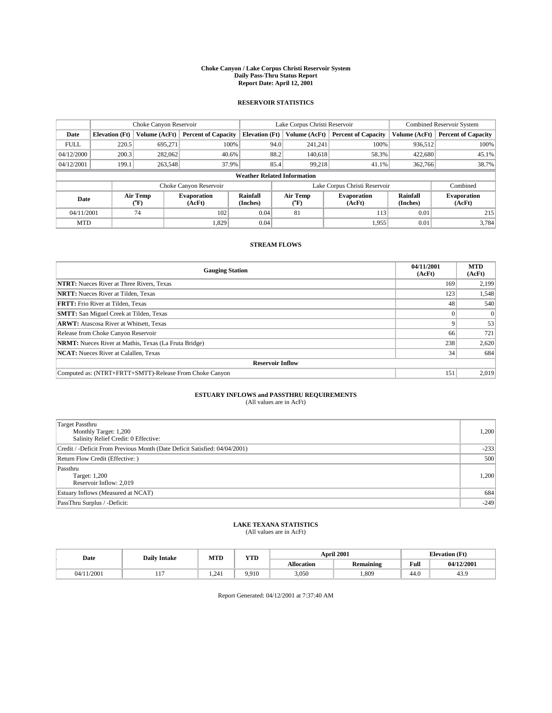#### **Choke Canyon / Lake Corpus Christi Reservoir System Daily Pass-Thru Status Report Report Date: April 12, 2001**

### **RESERVOIR STATISTICS**

|                                    | Choke Canyon Reservoir |                  |                              |                       | Lake Corpus Christi Reservoir |                  |                               |                      | <b>Combined Reservoir System</b> |  |
|------------------------------------|------------------------|------------------|------------------------------|-----------------------|-------------------------------|------------------|-------------------------------|----------------------|----------------------------------|--|
| Date                               | <b>Elevation</b> (Ft)  | Volume (AcFt)    | <b>Percent of Capacity</b>   | <b>Elevation</b> (Ft) |                               | Volume (AcFt)    | <b>Percent of Capacity</b>    | Volume (AcFt)        | <b>Percent of Capacity</b>       |  |
| <b>FULL</b>                        | 220.5                  | 695.271          | 100%                         |                       | 94.0                          | 241,241          | 100%                          | 936.512              | 100%                             |  |
| 04/12/2000                         | 200.3                  | 282,062          | 40.6%                        |                       | 88.2                          | 140.618          | 58.3%                         | 422,680              | 45.1%                            |  |
| 04/12/2001                         | 199.1                  | 263,548          | 37.9%                        |                       | 85.4                          | 99.218           | 41.1%                         | 362,766              | 38.7%                            |  |
| <b>Weather Related Information</b> |                        |                  |                              |                       |                               |                  |                               |                      |                                  |  |
|                                    |                        |                  | Choke Canyon Reservoir       |                       |                               |                  | Lake Corpus Christi Reservoir |                      | Combined                         |  |
| Date                               |                        | Air Temp<br>(°F) | <b>Evaporation</b><br>(AcFt) | Rainfall<br>(Inches)  |                               | Air Temp<br>("F) | <b>Evaporation</b><br>(AcFt)  | Rainfall<br>(Inches) | <b>Evaporation</b><br>(AcFt)     |  |
| 04/11/2001                         |                        | 74               | 102                          | 0.04                  |                               | 81               | 113                           | 0.01                 | 215                              |  |
| <b>MTD</b>                         |                        |                  | 1,829                        | 0.04                  |                               |                  | 1,955                         | 0.01                 | 3,784                            |  |

### **STREAM FLOWS**

| <b>Gauging Station</b>                                       | 04/11/2001<br>(AcFt) | <b>MTD</b><br>(AcFt) |  |  |  |  |
|--------------------------------------------------------------|----------------------|----------------------|--|--|--|--|
| <b>NTRT:</b> Nueces River at Three Rivers, Texas             | 169                  | 2,199                |  |  |  |  |
| <b>NRTT:</b> Nueces River at Tilden, Texas                   | 123                  | 1,548                |  |  |  |  |
| <b>FRTT:</b> Frio River at Tilden, Texas                     | 48                   | 540                  |  |  |  |  |
| <b>SMTT:</b> San Miguel Creek at Tilden, Texas               |                      |                      |  |  |  |  |
| <b>ARWT:</b> Atascosa River at Whitsett, Texas               |                      | 53                   |  |  |  |  |
| Release from Choke Canyon Reservoir                          | 66                   | 721                  |  |  |  |  |
| <b>NRMT:</b> Nueces River at Mathis, Texas (La Fruta Bridge) | 238                  | 2,620                |  |  |  |  |
| <b>NCAT:</b> Nueces River at Calallen, Texas                 | 34                   | 684                  |  |  |  |  |
| <b>Reservoir Inflow</b>                                      |                      |                      |  |  |  |  |
| Computed as: (NTRT+FRTT+SMTT)-Release From Choke Canyon      | 151                  | 2,019                |  |  |  |  |

# **ESTUARY INFLOWS and PASSTHRU REQUIREMENTS**<br>(All values are in AcFt)

| <b>Target Passthru</b><br>Monthly Target: 1,200<br>Salinity Relief Credit: 0 Effective: | 1,200  |
|-----------------------------------------------------------------------------------------|--------|
| Credit / -Deficit From Previous Month (Date Deficit Satisfied: 04/04/2001)              | $-233$ |
| Return Flow Credit (Effective:)                                                         | 500    |
| Passthru<br>Target: 1,200<br>Reservoir Inflow: 2,019                                    | 1,200  |
| Estuary Inflows (Measured at NCAT)                                                      | 684    |
| PassThru Surplus / -Deficit:                                                            | $-249$ |

# **LAKE TEXANA STATISTICS** (All values are in AcFt)

| Date  | <b>Daily Intake</b> | MTD  | VTT<br>1 I D |                   | April 2001       | <b>Elevation</b> (Ft) |            |
|-------|---------------------|------|--------------|-------------------|------------------|-----------------------|------------|
|       |                     |      |              | <b>Allocation</b> | . .<br>Remaining | Full                  | 04/12/2001 |
| /2001 | .                   | .241 | 9.910        | 3,050             | .,809            | $\sim$<br>44.O        | 45.9       |

Report Generated: 04/12/2001 at 7:37:40 AM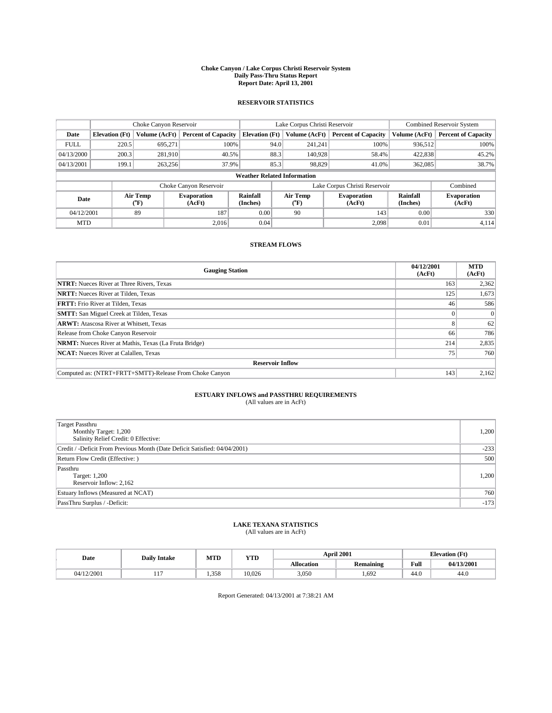#### **Choke Canyon / Lake Corpus Christi Reservoir System Daily Pass-Thru Status Report Report Date: April 13, 2001**

### **RESERVOIR STATISTICS**

|                                    | Choke Canyon Reservoir |                  |                              |                       | Lake Corpus Christi Reservoir |                  |                               |                      | <b>Combined Reservoir System</b> |  |
|------------------------------------|------------------------|------------------|------------------------------|-----------------------|-------------------------------|------------------|-------------------------------|----------------------|----------------------------------|--|
| Date                               | <b>Elevation</b> (Ft)  | Volume (AcFt)    | <b>Percent of Capacity</b>   | <b>Elevation</b> (Ft) |                               | Volume (AcFt)    | <b>Percent of Capacity</b>    | Volume (AcFt)        | <b>Percent of Capacity</b>       |  |
| <b>FULL</b>                        | 220.5                  | 695.271          | 100%                         |                       | 94.0                          | 241.241          | 100%                          | 936.512              | 100%                             |  |
| 04/13/2000                         | 200.3                  | 281.910          | $40.5\%$                     |                       | 88.3                          | 140.928          | 58.4%                         | 422,838              | 45.2%                            |  |
| 04/13/2001                         | 199.1                  | 263,256          | 37.9%                        |                       | 85.3                          | 98,829           | 41.0%                         | 362,085              | 38.7%                            |  |
| <b>Weather Related Information</b> |                        |                  |                              |                       |                               |                  |                               |                      |                                  |  |
|                                    |                        |                  | Choke Canyon Reservoir       |                       |                               |                  | Lake Corpus Christi Reservoir |                      | Combined                         |  |
| Date                               |                        | Air Temp<br>(°F) | <b>Evaporation</b><br>(AcFt) | Rainfall<br>(Inches)  |                               | Air Temp<br>("F) | <b>Evaporation</b><br>(AcFt)  | Rainfall<br>(Inches) | <b>Evaporation</b><br>(AcFt)     |  |
| 04/12/2001                         |                        | 89               | 187                          | 0.00                  |                               | 90               | 143                           | 0.00                 | 330                              |  |
| <b>MTD</b>                         |                        |                  | 2,016                        | 0.04                  |                               |                  | 2,098                         | 0.01                 | 4,114                            |  |

### **STREAM FLOWS**

| <b>Gauging Station</b>                                       | 04/12/2001<br>(AcFt) | <b>MTD</b><br>(AcFt) |  |  |  |  |
|--------------------------------------------------------------|----------------------|----------------------|--|--|--|--|
| <b>NTRT:</b> Nueces River at Three Rivers, Texas             | 163                  | 2,362                |  |  |  |  |
| <b>NRTT:</b> Nueces River at Tilden, Texas                   | 125                  | 1,673                |  |  |  |  |
| <b>FRTT:</b> Frio River at Tilden, Texas                     | 46                   | 586                  |  |  |  |  |
| <b>SMTT:</b> San Miguel Creek at Tilden, Texas               |                      |                      |  |  |  |  |
| <b>ARWT:</b> Atascosa River at Whitsett, Texas               | $\sim$               | 62                   |  |  |  |  |
| Release from Choke Canyon Reservoir                          | 66                   | 786                  |  |  |  |  |
| <b>NRMT:</b> Nueces River at Mathis, Texas (La Fruta Bridge) | 214                  | 2,835                |  |  |  |  |
| <b>NCAT:</b> Nueces River at Calallen, Texas                 | 75                   | 760                  |  |  |  |  |
| <b>Reservoir Inflow</b>                                      |                      |                      |  |  |  |  |
| Computed as: (NTRT+FRTT+SMTT)-Release From Choke Canyon      | 143                  | 2,162                |  |  |  |  |

# **ESTUARY INFLOWS and PASSTHRU REQUIREMENTS**<br>(All values are in AcFt)

| <b>Target Passthru</b><br>Monthly Target: 1,200<br>Salinity Relief Credit: 0 Effective: | 1,200  |
|-----------------------------------------------------------------------------------------|--------|
| Credit / -Deficit From Previous Month (Date Deficit Satisfied: 04/04/2001)              | $-233$ |
| Return Flow Credit (Effective:)                                                         | 500    |
| Passthru<br>Target: 1,200<br>Reservoir Inflow: 2,162                                    | 1,200  |
| Estuary Inflows (Measured at NCAT)                                                      | 760    |
| PassThru Surplus / -Deficit:                                                            | $-173$ |

# **LAKE TEXANA STATISTICS** (All values are in AcFt)

| Date       | <b>Daily Intake</b> | MTD   | YTD    |                   | <b>April 2001</b>       | <b>Elevation</b> (Ft) |            |
|------------|---------------------|-------|--------|-------------------|-------------------------|-----------------------|------------|
|            |                     |       |        | <b>Allocation</b> | . .<br><b>Remaining</b> | Full                  | 04/13/2001 |
| 04/12/2001 | .                   | 1.358 | 10.026 | 3,050             | .692                    | $\sim$<br>-44.0       | 44.0       |

Report Generated: 04/13/2001 at 7:38:21 AM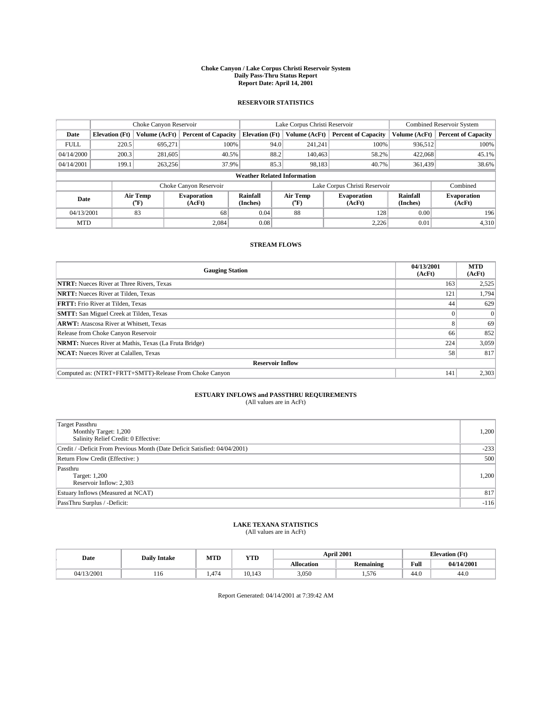#### **Choke Canyon / Lake Corpus Christi Reservoir System Daily Pass-Thru Status Report Report Date: April 14, 2001**

### **RESERVOIR STATISTICS**

|             | Choke Canyon Reservoir             |                             |                              |                             | Lake Corpus Christi Reservoir |                  |                               |                      | <b>Combined Reservoir System</b> |  |
|-------------|------------------------------------|-----------------------------|------------------------------|-----------------------------|-------------------------------|------------------|-------------------------------|----------------------|----------------------------------|--|
| Date        | <b>Elevation</b> (Ft)              | Volume (AcFt)               | <b>Percent of Capacity</b>   | <b>Elevation</b> (Ft)       |                               | Volume (AcFt)    | <b>Percent of Capacity</b>    | Volume (AcFt)        | <b>Percent of Capacity</b>       |  |
| <b>FULL</b> | 220.5                              | 695,271                     | 100%                         |                             | 94.0                          | 241,241          | 100%                          | 936.512              | 100%                             |  |
| 04/14/2000  | 200.3                              | 281,605                     | $40.5\%$                     |                             | 88.2                          | 140,463          | 58.2%                         | 422,068              | 45.1%                            |  |
| 04/14/2001  | 199.1                              | 263,256                     | 37.9%                        |                             | 85.3                          | 98,183           | 40.7%                         | 361,439              | 38.6%                            |  |
|             | <b>Weather Related Information</b> |                             |                              |                             |                               |                  |                               |                      |                                  |  |
|             |                                    |                             | Choke Canyon Reservoir       |                             |                               |                  | Lake Corpus Christi Reservoir |                      | Combined                         |  |
| Date        |                                    | Air Temp<br>${}^{\circ}$ F) | <b>Evaporation</b><br>(AcFt) | <b>Rainfall</b><br>(Inches) |                               | Air Temp<br>("F) | <b>Evaporation</b><br>(AcFt)  | Rainfall<br>(Inches) | <b>Evaporation</b><br>(AcFt)     |  |
| 04/13/2001  |                                    | 83                          | 68                           | 0.04                        |                               | 88               | 128                           | 0.00                 | 196                              |  |
| <b>MTD</b>  |                                    |                             | 2.084                        | 0.08                        |                               |                  | 2,226                         | 0.01                 | 4,310                            |  |

### **STREAM FLOWS**

| <b>Gauging Station</b>                                       | 04/13/2001<br>(AcFt) | <b>MTD</b><br>(AcFt) |  |  |  |
|--------------------------------------------------------------|----------------------|----------------------|--|--|--|
| <b>NTRT:</b> Nueces River at Three Rivers, Texas             | 163                  | 2,525                |  |  |  |
| <b>NRTT:</b> Nueces River at Tilden, Texas                   | 121                  | 1.794                |  |  |  |
| <b>FRTT:</b> Frio River at Tilden, Texas                     | 44                   | 629                  |  |  |  |
| <b>SMTT:</b> San Miguel Creek at Tilden, Texas               |                      |                      |  |  |  |
| <b>ARWT:</b> Atascosa River at Whitsett, Texas               | $\sim$               | 69                   |  |  |  |
| Release from Choke Canyon Reservoir                          | 66                   | 852                  |  |  |  |
| <b>NRMT:</b> Nueces River at Mathis, Texas (La Fruta Bridge) | 224                  | 3,059                |  |  |  |
| <b>NCAT:</b> Nueces River at Calallen, Texas                 | 58                   | 817                  |  |  |  |
| <b>Reservoir Inflow</b>                                      |                      |                      |  |  |  |
| Computed as: (NTRT+FRTT+SMTT)-Release From Choke Canyon      | 141                  | 2,303                |  |  |  |

# **ESTUARY INFLOWS and PASSTHRU REQUIREMENTS**<br>(All values are in AcFt)

| <b>Target Passthru</b><br>Monthly Target: 1,200<br>Salinity Relief Credit: 0 Effective: | 1,200  |
|-----------------------------------------------------------------------------------------|--------|
| Credit / -Deficit From Previous Month (Date Deficit Satisfied: 04/04/2001)              | $-233$ |
| Return Flow Credit (Effective:)                                                         | 500    |
| Passthru<br>Target: 1,200<br>Reservoir Inflow: 2,303                                    | 1,200  |
| Estuary Inflows (Measured at NCAT)                                                      | 817    |
| PassThru Surplus / -Deficit:                                                            | $-116$ |

# **LAKE TEXANA STATISTICS** (All values are in AcFt)

| Date       | <b>Daily Intake</b> | MTD  | YTD           |                   | <b>April 2001</b> | <b>Elevation</b> (Ft) |            |
|------------|---------------------|------|---------------|-------------------|-------------------|-----------------------|------------|
|            |                     |      |               | <b>Allocation</b> | <b>Remaining</b>  | Full                  | 04/14/2001 |
| 04/13/2001 | 110                 | .474 | (0.1)<br>141، | 3,050             | 1.576             | . .<br>44.6           | 44.0       |

Report Generated: 04/14/2001 at 7:39:42 AM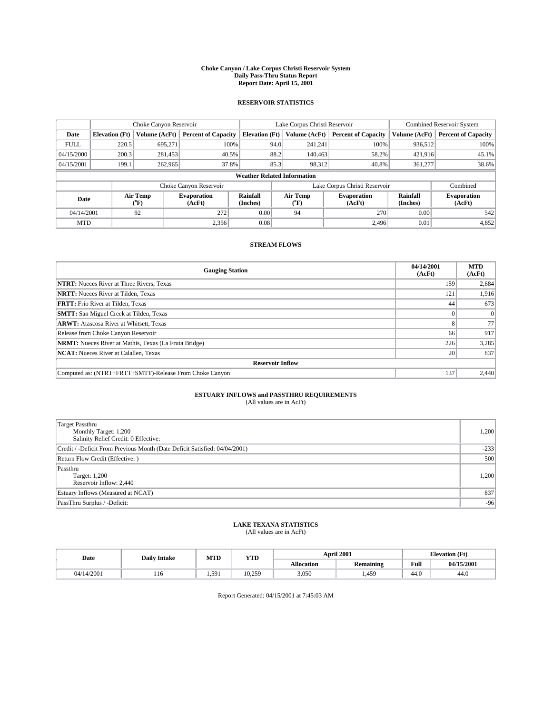#### **Choke Canyon / Lake Corpus Christi Reservoir System Daily Pass-Thru Status Report Report Date: April 15, 2001**

### **RESERVOIR STATISTICS**

|             | Choke Canyon Reservoir                                              |                  |                              |                             | Lake Corpus Christi Reservoir | <b>Combined Reservoir System</b> |                      |                              |  |
|-------------|---------------------------------------------------------------------|------------------|------------------------------|-----------------------------|-------------------------------|----------------------------------|----------------------|------------------------------|--|
| Date        | <b>Elevation</b> (Ft)                                               | Volume (AcFt)    | <b>Percent of Capacity</b>   | <b>Elevation</b> (Ft)       | Volume (AcFt)                 | <b>Percent of Capacity</b>       | Volume (AcFt)        | <b>Percent of Capacity</b>   |  |
| <b>FULL</b> | 220.5                                                               | 695,271          | 100%                         |                             | 94.0<br>241,241               | 100%                             | 936,512              | 100%                         |  |
| 04/15/2000  | 200.3                                                               | 281,453          | $40.5\%$                     |                             | 88.2<br>140,463               | 58.2%                            | 421,916              | 45.1%                        |  |
| 04/15/2001  | 199.1                                                               | 262,965          | 37.8%                        | 85.3                        | 98,312                        | 40.8%                            | 361,277              | 38.6%                        |  |
|             | <b>Weather Related Information</b>                                  |                  |                              |                             |                               |                                  |                      |                              |  |
|             | Lake Corpus Christi Reservoir<br>Combined<br>Choke Canyon Reservoir |                  |                              |                             |                               |                                  |                      |                              |  |
| Date        |                                                                     | Air Temp<br>(°F) | <b>Evaporation</b><br>(AcFt) | <b>Rainfall</b><br>(Inches) | Air Temp<br>("F)              | <b>Evaporation</b><br>(AcFt)     | Rainfall<br>(Inches) | <b>Evaporation</b><br>(AcFt) |  |
| 04/14/2001  |                                                                     | 92               | 272                          | 0.00                        | 94                            | 270                              | 0.00                 | 542                          |  |
| <b>MTD</b>  |                                                                     |                  | 2.356                        | 0.08                        |                               | 2.496                            | 0.01                 | 4,852                        |  |

### **STREAM FLOWS**

| <b>Gauging Station</b>                                       | 04/14/2001<br>(AcFt) | <b>MTD</b><br>(AcFt) |  |  |  |
|--------------------------------------------------------------|----------------------|----------------------|--|--|--|
| <b>NTRT:</b> Nueces River at Three Rivers, Texas             | 159                  | 2,684                |  |  |  |
| <b>NRTT:</b> Nueces River at Tilden, Texas                   | 121                  | 1,916                |  |  |  |
| <b>FRTT:</b> Frio River at Tilden, Texas                     | 44                   | 673                  |  |  |  |
| <b>SMTT:</b> San Miguel Creek at Tilden, Texas               |                      |                      |  |  |  |
| <b>ARWT:</b> Atascosa River at Whitsett, Texas               | 8                    | 77                   |  |  |  |
| Release from Choke Canyon Reservoir                          | 66                   | 917                  |  |  |  |
| <b>NRMT:</b> Nueces River at Mathis, Texas (La Fruta Bridge) | 226                  | 3,285                |  |  |  |
| <b>NCAT:</b> Nueces River at Calallen, Texas                 | 20                   | 837                  |  |  |  |
| <b>Reservoir Inflow</b>                                      |                      |                      |  |  |  |
| Computed as: (NTRT+FRTT+SMTT)-Release From Choke Canyon      | 137                  | 2,440                |  |  |  |

# **ESTUARY INFLOWS and PASSTHRU REQUIREMENTS**<br>(All values are in AcFt)

| Target Passthru<br>Monthly Target: 1,200<br>Salinity Relief Credit: 0 Effective: | 1,200  |
|----------------------------------------------------------------------------------|--------|
| Credit / -Deficit From Previous Month (Date Deficit Satisfied: 04/04/2001)       | $-233$ |
| Return Flow Credit (Effective: )                                                 | 500    |
| Passthru<br>Target: 1,200<br>Reservoir Inflow: 2,440                             | 1,200  |
| Estuary Inflows (Measured at NCAT)                                               | 837    |
| PassThru Surplus / -Deficit:                                                     | $-96$  |

# **LAKE TEXANA STATISTICS** (All values are in AcFt)

| Date       | <b>Daily Intake</b> | MTD                    | <b>YTD</b> | <b>April 2001</b> |                  | <b>Elevation</b> (Ft) |            |
|------------|---------------------|------------------------|------------|-------------------|------------------|-----------------------|------------|
|            |                     |                        |            | <b>Allocation</b> | <b>Remaining</b> | Full                  | 04/15/2001 |
| 04/14/2001 | 110                 | -591<br>1.J <i>J</i> 1 | 10.259     | 3,050             | .459             | 44.0                  | 44.0       |

Report Generated: 04/15/2001 at 7:45:03 AM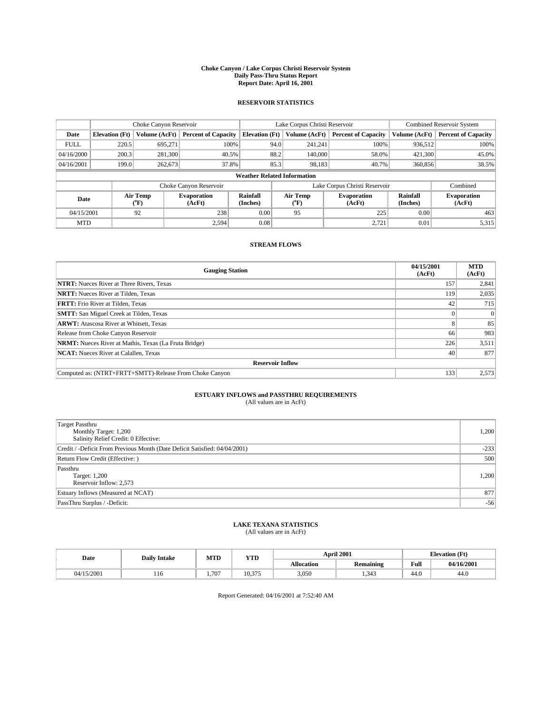#### **Choke Canyon / Lake Corpus Christi Reservoir System Daily Pass-Thru Status Report Report Date: April 16, 2001**

### **RESERVOIR STATISTICS**

|                                    | Choke Canyon Reservoir |                  |                              |                       | Lake Corpus Christi Reservoir |         |                               |                      | <b>Combined Reservoir System</b> |  |  |
|------------------------------------|------------------------|------------------|------------------------------|-----------------------|-------------------------------|---------|-------------------------------|----------------------|----------------------------------|--|--|
| Date                               | <b>Elevation</b> (Ft)  | Volume (AcFt)    | <b>Percent of Capacity</b>   | <b>Elevation</b> (Ft) | Volume (AcFt)                 |         | <b>Percent of Capacity</b>    | Volume (AcFt)        | <b>Percent of Capacity</b>       |  |  |
| <b>FULL</b>                        | 220.5                  | 695,271          | 100%                         |                       | 94.0                          | 241,241 | 100%                          | 936,512              | 100%                             |  |  |
| 04/16/2000                         | 200.3                  | 281,300          | $40.5\%$                     |                       | 88.2                          | 140,000 | 58.0%                         | 421,300              | 45.0%                            |  |  |
| 04/16/2001                         | 199.0                  | 262,673          | 37.8%                        |                       | 85.3                          | 98,183  | 40.7%                         | 360,856              | 38.5%                            |  |  |
| <b>Weather Related Information</b> |                        |                  |                              |                       |                               |         |                               |                      |                                  |  |  |
|                                    |                        |                  | Choke Canyon Reservoir       |                       |                               |         | Lake Corpus Christi Reservoir |                      | Combined                         |  |  |
| Date                               |                        | Air Temp<br>(°F) | <b>Evaporation</b><br>(AcFt) | Rainfall<br>(Inches)  | Air Temp<br>("F)              |         | <b>Evaporation</b><br>(AcFt)  | Rainfall<br>(Inches) | <b>Evaporation</b><br>(AcFt)     |  |  |
| 04/15/2001                         |                        | 92               | 238                          | 0.00                  | 95                            |         | 225                           | 0.00                 | 463                              |  |  |
| <b>MTD</b>                         |                        |                  | 2,594                        | 0.08                  |                               |         | 2,721                         | 0.01                 | 5,315                            |  |  |

### **STREAM FLOWS**

| <b>Gauging Station</b>                                       | 04/15/2001<br>(AcFt) | <b>MTD</b><br>(AcFt) |  |  |  |  |
|--------------------------------------------------------------|----------------------|----------------------|--|--|--|--|
| <b>NTRT:</b> Nueces River at Three Rivers, Texas             | 157                  | 2,841                |  |  |  |  |
| <b>NRTT:</b> Nueces River at Tilden, Texas                   | 119                  | 2,035                |  |  |  |  |
| <b>FRTT:</b> Frio River at Tilden, Texas                     | 42                   | 715                  |  |  |  |  |
| <b>SMTT:</b> San Miguel Creek at Tilden, Texas               |                      |                      |  |  |  |  |
| <b>ARWT:</b> Atascosa River at Whitsett, Texas               | $\sim$               | 85                   |  |  |  |  |
| Release from Choke Canyon Reservoir                          | 66                   | 983                  |  |  |  |  |
| <b>NRMT:</b> Nueces River at Mathis, Texas (La Fruta Bridge) | 226                  | 3,511                |  |  |  |  |
| <b>NCAT:</b> Nueces River at Calallen, Texas                 | 40                   | 877                  |  |  |  |  |
| <b>Reservoir Inflow</b>                                      |                      |                      |  |  |  |  |
| Computed as: (NTRT+FRTT+SMTT)-Release From Choke Canyon      | 133                  | 2,573                |  |  |  |  |

# **ESTUARY INFLOWS and PASSTHRU REQUIREMENTS**<br>(All values are in AcFt)

| Target Passthru<br>Monthly Target: 1,200<br>Salinity Relief Credit: 0 Effective: | 1,200  |
|----------------------------------------------------------------------------------|--------|
| Credit / -Deficit From Previous Month (Date Deficit Satisfied: 04/04/2001)       | $-233$ |
| Return Flow Credit (Effective: )                                                 | 500    |
| Passthru<br>Target: 1,200<br>Reservoir Inflow: 2,573                             | 1,200  |
| Estuary Inflows (Measured at NCAT)                                               | 877    |
| PassThru Surplus / -Deficit:                                                     | $-56$  |

# **LAKE TEXANA STATISTICS** (All values are in AcFt)

| Date            | <b>Daily Intake</b> | MTD  | YTD           |                   | <b>April 2001</b> | <b>Elevation</b> (Ft) |            |
|-----------------|---------------------|------|---------------|-------------------|-------------------|-----------------------|------------|
|                 |                     |      |               | <b>Allocation</b> | <b>Remaining</b>  | Full                  | 04/16/2001 |
| /15/2001<br>04/ | 110                 | .707 | 275<br>10.37. | 3,050             | .343              | $\sim$<br>44.6        | 44.0       |

Report Generated: 04/16/2001 at 7:52:40 AM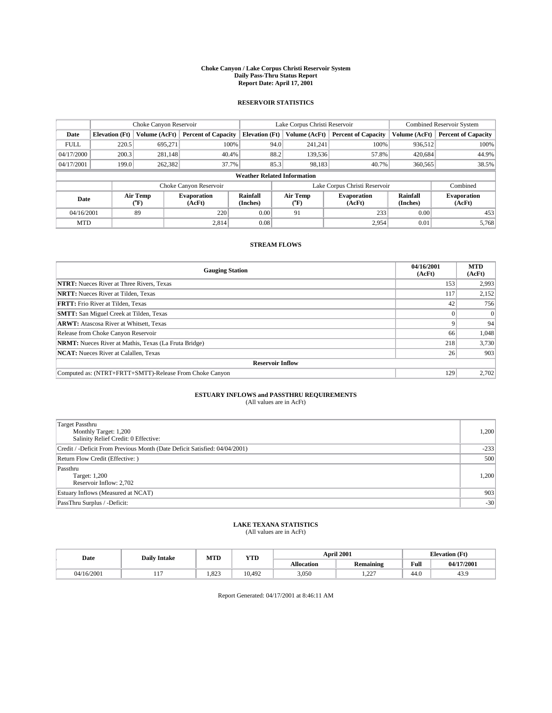#### **Choke Canyon / Lake Corpus Christi Reservoir System Daily Pass-Thru Status Report Report Date: April 17, 2001**

### **RESERVOIR STATISTICS**

|                                    | Choke Canyon Reservoir |                             | Lake Corpus Christi Reservoir |                             |      |                  | <b>Combined Reservoir System</b> |                      |                              |
|------------------------------------|------------------------|-----------------------------|-------------------------------|-----------------------------|------|------------------|----------------------------------|----------------------|------------------------------|
| Date                               | <b>Elevation</b> (Ft)  | Volume (AcFt)               | <b>Percent of Capacity</b>    | <b>Elevation</b> (Ft)       |      | Volume (AcFt)    | <b>Percent of Capacity</b>       | Volume (AcFt)        | <b>Percent of Capacity</b>   |
| <b>FULL</b>                        | 220.5                  | 695,271                     | 100%                          |                             | 94.0 | 241,241          | 100%                             | 936.512              | 100%                         |
| 04/17/2000                         | 200.3                  | 281.148                     | 40.4%                         |                             | 88.2 | 139,536          | 57.8%                            | 420.684              | 44.9%                        |
| 04/17/2001                         | 199.0                  | 262.382                     | 37.7%                         |                             | 85.3 | 98,183           | 40.7%                            | 360,565              | 38.5%                        |
| <b>Weather Related Information</b> |                        |                             |                               |                             |      |                  |                                  |                      |                              |
|                                    |                        |                             | Choke Canyon Reservoir        |                             |      |                  | Lake Corpus Christi Reservoir    |                      | Combined                     |
| Date                               |                        | Air Temp<br>${}^{\circ}$ F) | <b>Evaporation</b><br>(AcFt)  | <b>Rainfall</b><br>(Inches) |      | Air Temp<br>("F) | <b>Evaporation</b><br>(AcFt)     | Rainfall<br>(Inches) | <b>Evaporation</b><br>(AcFt) |
| 04/16/2001                         |                        | 89                          | 220                           | 0.00                        |      | 91               | 233                              | 0.00                 | 453                          |
| <b>MTD</b>                         |                        |                             | 2.814                         | 0.08                        |      |                  | 2,954                            | 0.01                 | 5,768                        |

### **STREAM FLOWS**

| <b>Gauging Station</b>                                       | 04/16/2001<br>(AcFt) | <b>MTD</b><br>(AcFt) |  |  |  |  |
|--------------------------------------------------------------|----------------------|----------------------|--|--|--|--|
| <b>NTRT:</b> Nueces River at Three Rivers, Texas             | 153                  | 2,993                |  |  |  |  |
| <b>NRTT:</b> Nueces River at Tilden, Texas                   | 117                  | 2,152                |  |  |  |  |
| <b>FRTT:</b> Frio River at Tilden, Texas                     | 42                   | 756                  |  |  |  |  |
| <b>SMTT:</b> San Miguel Creek at Tilden, Texas               |                      |                      |  |  |  |  |
| <b>ARWT:</b> Atascosa River at Whitsett, Texas               |                      | 94                   |  |  |  |  |
| Release from Choke Canyon Reservoir                          | 66                   | 1,048                |  |  |  |  |
| <b>NRMT:</b> Nueces River at Mathis, Texas (La Fruta Bridge) | 218                  | 3,730                |  |  |  |  |
| <b>NCAT:</b> Nueces River at Calallen, Texas                 | 26                   | 903                  |  |  |  |  |
| <b>Reservoir Inflow</b>                                      |                      |                      |  |  |  |  |
| Computed as: (NTRT+FRTT+SMTT)-Release From Choke Canyon      | 129                  | 2.702                |  |  |  |  |

# **ESTUARY INFLOWS and PASSTHRU REQUIREMENTS**<br>(All values are in AcFt)

| Target Passthru<br>Monthly Target: 1,200<br>Salinity Relief Credit: 0 Effective: | 1,200  |
|----------------------------------------------------------------------------------|--------|
| Credit / -Deficit From Previous Month (Date Deficit Satisfied: 04/04/2001)       | $-233$ |
| Return Flow Credit (Effective: )                                                 | 500    |
| Passthru<br>Target: 1,200<br>Reservoir Inflow: 2,702                             | 1,200  |
| Estuary Inflows (Measured at NCAT)                                               | 903    |
| PassThru Surplus / -Deficit:                                                     | $-30$  |

# **LAKE TEXANA STATISTICS** (All values are in AcFt)

| Date       | <b>Daily Intake</b> | MTD   | YTD    |                   | <b>April 2001</b> | <b>Elevation</b> (Ft) |            |
|------------|---------------------|-------|--------|-------------------|-------------------|-----------------------|------------|
|            |                     |       |        | <b>Allocation</b> | <b>Remaining</b>  | Full                  | 04/17/2001 |
| 04/16/2001 | .                   | 1.823 | 10.492 | 3,050             | $\sim$<br>.       | $\sim$<br>44.0        | 43.9       |

Report Generated: 04/17/2001 at 8:46:11 AM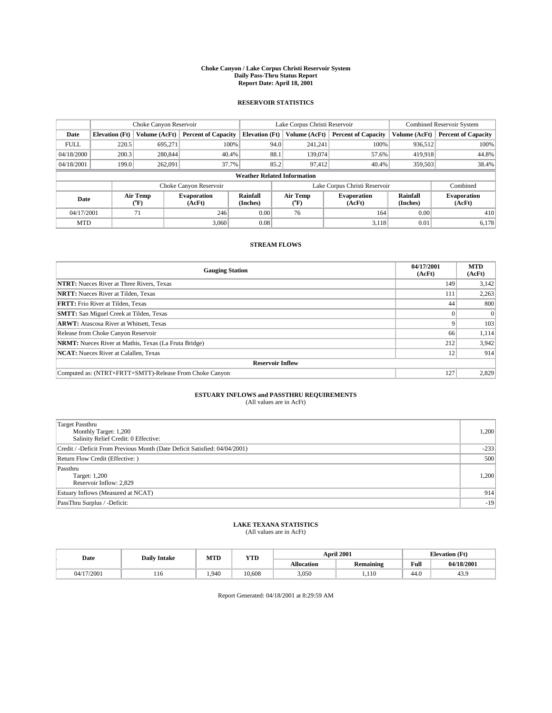#### **Choke Canyon / Lake Corpus Christi Reservoir System Daily Pass-Thru Status Report Report Date: April 18, 2001**

### **RESERVOIR STATISTICS**

|                                    | Choke Canyon Reservoir |                  |                              |                       | Lake Corpus Christi Reservoir |                  |                               |                      | <b>Combined Reservoir System</b> |  |  |
|------------------------------------|------------------------|------------------|------------------------------|-----------------------|-------------------------------|------------------|-------------------------------|----------------------|----------------------------------|--|--|
| Date                               | <b>Elevation</b> (Ft)  | Volume (AcFt)    | <b>Percent of Capacity</b>   | <b>Elevation</b> (Ft) |                               | Volume (AcFt)    | <b>Percent of Capacity</b>    | Volume (AcFt)        | <b>Percent of Capacity</b>       |  |  |
| <b>FULL</b>                        | 220.5                  | 695,271          | 100%                         |                       | 94.0                          | 241,241          | 100%                          | 936,512              | 100%                             |  |  |
| 04/18/2000                         | 200.3                  | 280,844          | 40.4%                        |                       | 88.1                          | 139,074          | 57.6%                         | 419,918              | 44.8%                            |  |  |
| 04/18/2001                         | 199.0                  | 262,091          | 37.7%                        |                       | 85.2                          | 97,412           | 40.4%                         | 359,503              | 38.4%                            |  |  |
| <b>Weather Related Information</b> |                        |                  |                              |                       |                               |                  |                               |                      |                                  |  |  |
|                                    |                        |                  | Choke Canyon Reservoir       |                       |                               |                  | Lake Corpus Christi Reservoir |                      | Combined                         |  |  |
| Date                               |                        | Air Temp<br>(°F) | <b>Evaporation</b><br>(AcFt) | Rainfall<br>(Inches)  |                               | Air Temp<br>("F) | <b>Evaporation</b><br>(AcFt)  | Rainfall<br>(Inches) | <b>Evaporation</b><br>(AcFt)     |  |  |
| 04/17/2001                         |                        | 71               | 246                          | 0.00                  |                               | 76               | 164                           | 0.00                 | 410                              |  |  |
| <b>MTD</b>                         |                        |                  | 3,060                        | 0.08                  |                               |                  | 3,118                         | 0.01                 | 6,178                            |  |  |

### **STREAM FLOWS**

| <b>Gauging Station</b>                                       | 04/17/2001<br>(AcFt) | <b>MTD</b><br>(AcFt) |  |  |  |  |
|--------------------------------------------------------------|----------------------|----------------------|--|--|--|--|
| <b>NTRT:</b> Nueces River at Three Rivers, Texas             | 149                  | 3,142                |  |  |  |  |
| <b>NRTT:</b> Nueces River at Tilden, Texas                   | 111                  | 2,263                |  |  |  |  |
| <b>FRTT:</b> Frio River at Tilden, Texas                     | 44                   | 800                  |  |  |  |  |
| <b>SMTT:</b> San Miguel Creek at Tilden, Texas               |                      |                      |  |  |  |  |
| <b>ARWT:</b> Atascosa River at Whitsett, Texas               |                      | 103                  |  |  |  |  |
| Release from Choke Canyon Reservoir                          | 66                   | 1,114                |  |  |  |  |
| <b>NRMT:</b> Nueces River at Mathis, Texas (La Fruta Bridge) | 212                  | 3,942                |  |  |  |  |
| <b>NCAT:</b> Nueces River at Calallen, Texas                 | 12                   | 914                  |  |  |  |  |
| <b>Reservoir Inflow</b>                                      |                      |                      |  |  |  |  |
| Computed as: (NTRT+FRTT+SMTT)-Release From Choke Canyon      | 127                  | 2,829                |  |  |  |  |

# **ESTUARY INFLOWS and PASSTHRU REQUIREMENTS**<br>(All values are in AcFt)

| <b>Target Passthru</b><br>Monthly Target: 1,200<br>Salinity Relief Credit: 0 Effective: | 1,200  |
|-----------------------------------------------------------------------------------------|--------|
| Credit / -Deficit From Previous Month (Date Deficit Satisfied: 04/04/2001)              | $-233$ |
| Return Flow Credit (Effective:)                                                         | 500    |
| Passthru<br>Target: 1,200<br>Reservoir Inflow: 2,829                                    | 1,200  |
| Estuary Inflows (Measured at NCAT)                                                      | 914    |
| PassThru Surplus / -Deficit:                                                            | $-19$  |

# **LAKE TEXANA STATISTICS** (All values are in AcFt)

| Date       | <b>Daily Intake</b> | MTD  | YTD    |                   | <b>April 2001</b> |                 | <b>Elevation</b> (Ft) |  |
|------------|---------------------|------|--------|-------------------|-------------------|-----------------|-----------------------|--|
|            |                     |      |        | <b>Allocation</b> | <b>Remaining</b>  | Full            | 04/18/2001            |  |
| 04/17/2001 | 110                 | .940 | 10.608 | 3,050             | ,110              | $\sim$<br>-44.6 | 43.9                  |  |

Report Generated: 04/18/2001 at 8:29:59 AM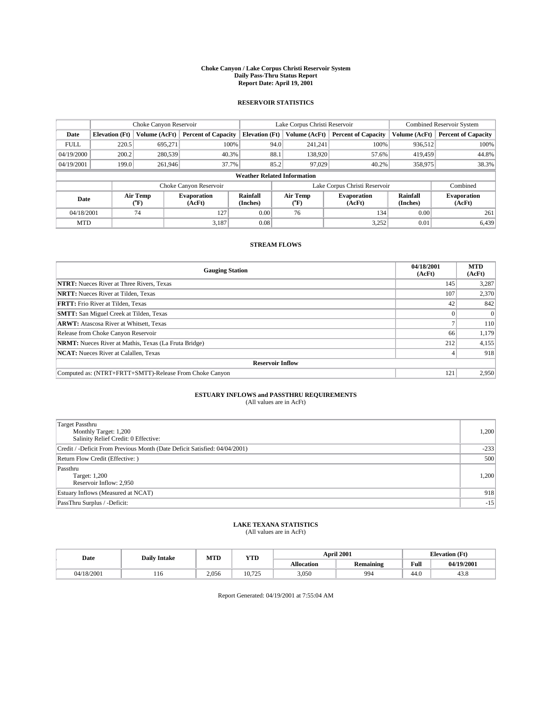#### **Choke Canyon / Lake Corpus Christi Reservoir System Daily Pass-Thru Status Report Report Date: April 19, 2001**

### **RESERVOIR STATISTICS**

|             | Choke Canyon Reservoir             |                  |                              |                       | Lake Corpus Christi Reservoir |                  |                               |                      | <b>Combined Reservoir System</b> |  |  |
|-------------|------------------------------------|------------------|------------------------------|-----------------------|-------------------------------|------------------|-------------------------------|----------------------|----------------------------------|--|--|
| Date        | <b>Elevation</b> (Ft)              | Volume (AcFt)    | <b>Percent of Capacity</b>   | <b>Elevation</b> (Ft) |                               | Volume (AcFt)    | <b>Percent of Capacity</b>    | Volume (AcFt)        | <b>Percent of Capacity</b>       |  |  |
| <b>FULL</b> | 220.5                              | 695,271          | 100%                         |                       | 94.0                          | 241,241          | 100%                          | 936,512              | 100%                             |  |  |
| 04/19/2000  | 200.2                              | 280,539          | $40.3\%$                     |                       | 88.1                          | 138,920          | 57.6%                         | 419,459              | 44.8%                            |  |  |
| 04/19/2001  | 199.0                              | 261.946          | 37.7%                        |                       | 85.2                          | 97,029           | 40.2%                         | 358,975              | 38.3%                            |  |  |
|             | <b>Weather Related Information</b> |                  |                              |                       |                               |                  |                               |                      |                                  |  |  |
|             |                                    |                  | Choke Canyon Reservoir       |                       |                               |                  | Lake Corpus Christi Reservoir |                      | Combined                         |  |  |
| Date        |                                    | Air Temp<br>(°F) | <b>Evaporation</b><br>(AcFt) | Rainfall<br>(Inches)  |                               | Air Temp<br>("F) | <b>Evaporation</b><br>(AcFt)  | Rainfall<br>(Inches) | <b>Evaporation</b><br>(AcFt)     |  |  |
| 04/18/2001  |                                    | 74               | 127                          | 0.00                  |                               | 76               | 134                           | 0.00                 | 261                              |  |  |
| <b>MTD</b>  |                                    |                  | 3,187                        | 0.08                  |                               |                  | 3,252                         | 0.01                 | 6,439                            |  |  |

### **STREAM FLOWS**

| <b>Gauging Station</b>                                       | 04/18/2001<br>(AcFt) | <b>MTD</b><br>(AcFt) |  |  |  |  |
|--------------------------------------------------------------|----------------------|----------------------|--|--|--|--|
| <b>NTRT:</b> Nueces River at Three Rivers, Texas             | 145                  | 3,287                |  |  |  |  |
| <b>NRTT:</b> Nueces River at Tilden, Texas                   | 107                  | 2,370                |  |  |  |  |
| <b>FRTT:</b> Frio River at Tilden, Texas                     | 42                   | 842                  |  |  |  |  |
| <b>SMTT:</b> San Miguel Creek at Tilden, Texas               |                      |                      |  |  |  |  |
| <b>ARWT:</b> Atascosa River at Whitsett, Texas               |                      | 110                  |  |  |  |  |
| Release from Choke Canyon Reservoir                          | 66                   | 1,179                |  |  |  |  |
| <b>NRMT:</b> Nueces River at Mathis, Texas (La Fruta Bridge) | 212                  | 4,155                |  |  |  |  |
| <b>NCAT:</b> Nueces River at Calallen, Texas                 |                      | 918                  |  |  |  |  |
| <b>Reservoir Inflow</b>                                      |                      |                      |  |  |  |  |
| Computed as: (NTRT+FRTT+SMTT)-Release From Choke Canyon      | 121                  | 2,950                |  |  |  |  |

## **ESTUARY INFLOWS and PASSTHRU REQUIREMENTS**

(All values are in AcFt)

| <b>Target Passthru</b><br>Monthly Target: 1,200<br>Salinity Relief Credit: 0 Effective: | 1,200  |
|-----------------------------------------------------------------------------------------|--------|
| Credit / -Deficit From Previous Month (Date Deficit Satisfied: 04/04/2001)              | $-233$ |
| Return Flow Credit (Effective:)                                                         | 500    |
| Passthru<br>Target: 1,200<br>Reservoir Inflow: 2,950                                    | 1,200  |
| Estuary Inflows (Measured at NCAT)                                                      | 918    |
| PassThru Surplus / -Deficit:                                                            | $-15$  |

# **LAKE TEXANA STATISTICS** (All values are in AcFt)

| Date       | <b>Daily Intake</b> | MTD   | <b>YTD</b> |                   | <b>April 2001</b> |                | <b>Elevation</b> (Ft) |
|------------|---------------------|-------|------------|-------------------|-------------------|----------------|-----------------------|
|            |                     |       |            | <b>Allocation</b> | <b>Remaining</b>  | Full           | 04/19/2001            |
| 04/18/2001 | 110                 | 2,056 | 10.725     | 3.050             | 994               | $\sim$<br>44.V | 45.8                  |

Report Generated: 04/19/2001 at 7:55:04 AM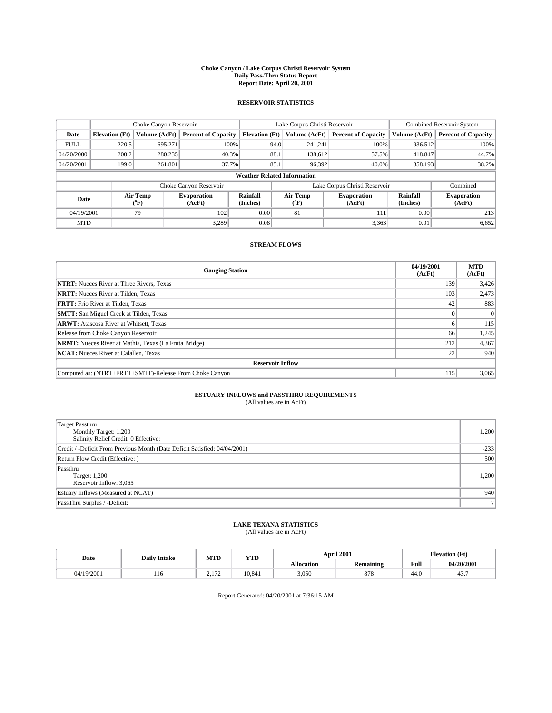#### **Choke Canyon / Lake Corpus Christi Reservoir System Daily Pass-Thru Status Report Report Date: April 20, 2001**

### **RESERVOIR STATISTICS**

|                                    | Choke Canyon Reservoir |                  |                              |                       | Lake Corpus Christi Reservoir |                  |                               |                      | <b>Combined Reservoir System</b> |  |  |
|------------------------------------|------------------------|------------------|------------------------------|-----------------------|-------------------------------|------------------|-------------------------------|----------------------|----------------------------------|--|--|
| Date                               | <b>Elevation</b> (Ft)  | Volume (AcFt)    | <b>Percent of Capacity</b>   | <b>Elevation</b> (Ft) |                               | Volume (AcFt)    | <b>Percent of Capacity</b>    | Volume (AcFt)        | <b>Percent of Capacity</b>       |  |  |
| <b>FULL</b>                        | 220.5                  | 695,271          | 100%                         |                       | 94.0                          | 241,241          | 100%                          | 936,512              | 100%                             |  |  |
| 04/20/2000                         | 200.2                  | 280,235          | $40.3\%$                     |                       | 88.1                          | 138.612          | 57.5%                         | 418,847              | 44.7%                            |  |  |
| 04/20/2001                         | 199.0                  | 261.801          | 37.7%                        |                       | 85.1                          | 96,392           | 40.0%                         | 358,193              | 38.2%                            |  |  |
| <b>Weather Related Information</b> |                        |                  |                              |                       |                               |                  |                               |                      |                                  |  |  |
|                                    |                        |                  | Choke Canyon Reservoir       |                       |                               |                  | Lake Corpus Christi Reservoir |                      | Combined                         |  |  |
| Date                               |                        | Air Temp<br>(°F) | <b>Evaporation</b><br>(AcFt) | Rainfall<br>(Inches)  |                               | Air Temp<br>("F) | <b>Evaporation</b><br>(AcFt)  | Rainfall<br>(Inches) | <b>Evaporation</b><br>(AcFt)     |  |  |
| 04/19/2001                         |                        | 79               | 102                          | 0.00                  |                               | 81               | 111                           | 0.00                 | 213                              |  |  |
| <b>MTD</b>                         |                        |                  | 3,289                        | 0.08                  |                               |                  | 3,363                         | 0.01                 | 6,652                            |  |  |

### **STREAM FLOWS**

| <b>Gauging Station</b>                                       | 04/19/2001<br>(AcFt) | <b>MTD</b><br>(AcFt) |
|--------------------------------------------------------------|----------------------|----------------------|
| <b>NTRT:</b> Nueces River at Three Rivers, Texas             | 139                  | 3,426                |
| <b>NRTT:</b> Nueces River at Tilden, Texas                   | 103                  | 2,473                |
| <b>FRTT:</b> Frio River at Tilden, Texas                     | 42                   | 883                  |
| <b>SMTT:</b> San Miguel Creek at Tilden, Texas               |                      |                      |
| <b>ARWT:</b> Atascosa River at Whitsett, Texas               | h.                   | 115                  |
| Release from Choke Canyon Reservoir                          | 66                   | 1,245                |
| <b>NRMT:</b> Nueces River at Mathis, Texas (La Fruta Bridge) | 212                  | 4,367                |
| <b>NCAT:</b> Nueces River at Calallen, Texas                 | 22                   | 940                  |
| <b>Reservoir Inflow</b>                                      |                      |                      |
| Computed as: (NTRT+FRTT+SMTT)-Release From Choke Canyon      | 115                  | 3,065                |

# **ESTUARY INFLOWS and PASSTHRU REQUIREMENTS**<br>(All values are in AcFt)

| <b>Target Passthru</b><br>Monthly Target: 1,200<br>Salinity Relief Credit: 0 Effective: | 1,200          |
|-----------------------------------------------------------------------------------------|----------------|
| Credit / -Deficit From Previous Month (Date Deficit Satisfied: 04/04/2001)              | $-233$         |
| Return Flow Credit (Effective: )                                                        | 500            |
| Passthru<br>Target: 1,200<br>Reservoir Inflow: 3,065                                    | 1,200          |
| Estuary Inflows (Measured at NCAT)                                                      | 940            |
| PassThru Surplus / -Deficit:                                                            | 7 <sup>1</sup> |

# **LAKE TEXANA STATISTICS** (All values are in AcFt)

| Date       | <b>Daily Intake</b> | MTD     | YTD    |                   | <b>April 2001</b> |                 | <b>Elevation</b> (Ft) |
|------------|---------------------|---------|--------|-------------------|-------------------|-----------------|-----------------------|
|            |                     |         |        | <b>Allocation</b> | <b>Remaining</b>  | Full            | 04/20/2001            |
| 04/19/2001 | 110                 | $1 - 1$ | 10.841 | 3,050             | 878               | $\sim$<br>-44.0 | 45                    |

Report Generated: 04/20/2001 at 7:36:15 AM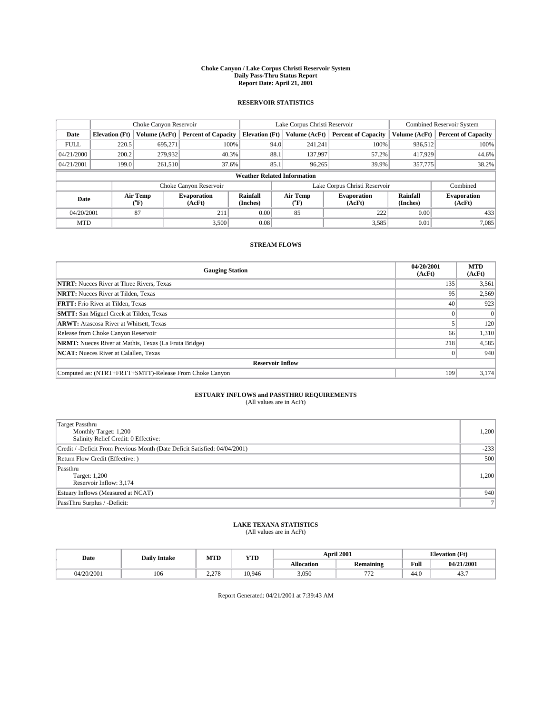#### **Choke Canyon / Lake Corpus Christi Reservoir System Daily Pass-Thru Status Report Report Date: April 21, 2001**

### **RESERVOIR STATISTICS**

|             | Choke Canyon Reservoir             |                  |                              |                       | Lake Corpus Christi Reservoir |               |                               |                      | <b>Combined Reservoir System</b> |  |
|-------------|------------------------------------|------------------|------------------------------|-----------------------|-------------------------------|---------------|-------------------------------|----------------------|----------------------------------|--|
| Date        | <b>Elevation</b> (Ft)              | Volume (AcFt)    | <b>Percent of Capacity</b>   | <b>Elevation</b> (Ft) |                               | Volume (AcFt) | <b>Percent of Capacity</b>    | Volume (AcFt)        | <b>Percent of Capacity</b>       |  |
| <b>FULL</b> | 220.5                              | 695,271          | 100%                         |                       | 94.0                          | 241,241       | 100%                          | 936,512              | 100%                             |  |
| 04/21/2000  | 200.2                              | 279,932          | $40.3\%$                     |                       | 88.1                          | 137,997       | 57.2%                         | 417.929              | 44.6%                            |  |
| 04/21/2001  | 199.0                              | 261.510          | 37.6%                        |                       | 85.1                          | 96.265        | 39.9%                         | 357,775              | 38.2%                            |  |
|             | <b>Weather Related Information</b> |                  |                              |                       |                               |               |                               |                      |                                  |  |
|             |                                    |                  | Choke Canyon Reservoir       |                       |                               |               | Lake Corpus Christi Reservoir |                      | Combined                         |  |
| Date        |                                    | Air Temp<br>(°F) | <b>Evaporation</b><br>(AcFt) | Rainfall<br>(Inches)  | Air Temp<br>("F)              |               | <b>Evaporation</b><br>(AcFt)  | Rainfall<br>(Inches) | <b>Evaporation</b><br>(AcFt)     |  |
| 04/20/2001  |                                    | 87               | 211                          | 0.00                  | 85                            |               | 222                           | 0.00                 | 433                              |  |
| <b>MTD</b>  |                                    |                  | 3.500                        | 0.08                  |                               |               | 3,585                         | 0.01                 | 7,085                            |  |

### **STREAM FLOWS**

| <b>Gauging Station</b>                                       | 04/20/2001<br>(AcFt) | <b>MTD</b><br>(AcFt) |
|--------------------------------------------------------------|----------------------|----------------------|
| <b>NTRT:</b> Nueces River at Three Rivers, Texas             | 135                  | 3,561                |
| <b>NRTT:</b> Nueces River at Tilden, Texas                   | 95                   | 2,569                |
| <b>FRTT:</b> Frio River at Tilden, Texas                     | 40                   | 923                  |
| <b>SMTT:</b> San Miguel Creek at Tilden, Texas               |                      |                      |
| <b>ARWT:</b> Atascosa River at Whitsett, Texas               |                      | 120                  |
| Release from Choke Canyon Reservoir                          | 66                   | 1,310                |
| <b>NRMT:</b> Nueces River at Mathis, Texas (La Fruta Bridge) | 218                  | 4,585                |
| <b>NCAT:</b> Nueces River at Calallen, Texas                 |                      | 940                  |
| <b>Reservoir Inflow</b>                                      |                      |                      |
| Computed as: (NTRT+FRTT+SMTT)-Release From Choke Canyon      | 109                  | 3,174                |

# **ESTUARY INFLOWS and PASSTHRU REQUIREMENTS**<br>(All values are in AcFt)

| <b>Target Passthru</b><br>Monthly Target: 1,200<br>Salinity Relief Credit: 0 Effective: | 1,200          |
|-----------------------------------------------------------------------------------------|----------------|
| Credit / -Deficit From Previous Month (Date Deficit Satisfied: 04/04/2001)              | $-233$         |
| Return Flow Credit (Effective: )                                                        | 500            |
| Passthru<br>Target: 1,200<br>Reservoir Inflow: 3,174                                    | 1,200          |
| Estuary Inflows (Measured at NCAT)                                                      | 940            |
| PassThru Surplus / -Deficit:                                                            | 7 <sup>1</sup> |

# **LAKE TEXANA STATISTICS** (All values are in AcFt)

| Date       | <b>Daily Intake</b> | MTD   | YTD    |                   | <b>April 2001</b>   | <b>Elevation</b> (Ft) |            |
|------------|---------------------|-------|--------|-------------------|---------------------|-----------------------|------------|
|            |                     |       |        | <b>Allocation</b> | <b>Remaining</b>    | Full                  | 04/21/2001 |
| 04/20/2001 | 106                 | 2.278 | 10.946 | 3,050             | $\overline{a}$<br>. | $\sim$<br>44.V        | 45         |

Report Generated: 04/21/2001 at 7:39:43 AM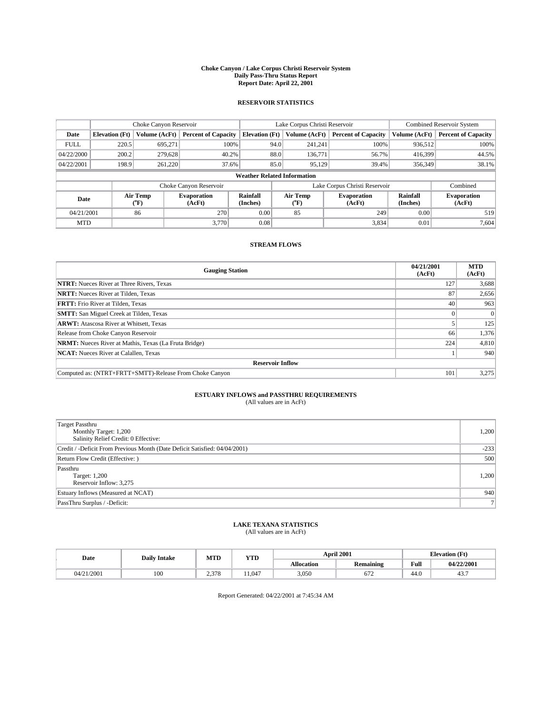#### **Choke Canyon / Lake Corpus Christi Reservoir System Daily Pass-Thru Status Report Report Date: April 22, 2001**

### **RESERVOIR STATISTICS**

|                                    | Choke Canyon Reservoir |                  |                              |                       | Lake Corpus Christi Reservoir |                  |                               |                      | Combined Reservoir System    |  |
|------------------------------------|------------------------|------------------|------------------------------|-----------------------|-------------------------------|------------------|-------------------------------|----------------------|------------------------------|--|
| Date                               | <b>Elevation</b> (Ft)  | Volume (AcFt)    | <b>Percent of Capacity</b>   | <b>Elevation</b> (Ft) |                               | Volume (AcFt)    | <b>Percent of Capacity</b>    | Volume (AcFt)        | <b>Percent of Capacity</b>   |  |
| <b>FULL</b>                        | 220.5                  | 695,271          | 100%                         |                       | 94.0                          | 241,241          | 100%                          | 936,512              | 100%                         |  |
| 04/22/2000                         | 200.2                  | 279,628          | 40.2%                        |                       | 88.0                          | 136,771          | 56.7%                         | 416.399              | 44.5%                        |  |
| 04/22/2001                         | 198.9                  | 261.220          | 37.6%                        |                       | 85.0                          | 95,129           | 39.4%                         | 356,349              | 38.1%                        |  |
| <b>Weather Related Information</b> |                        |                  |                              |                       |                               |                  |                               |                      |                              |  |
|                                    |                        |                  | Choke Canyon Reservoir       |                       |                               |                  | Lake Corpus Christi Reservoir |                      | Combined                     |  |
| Date                               |                        | Air Temp<br>(°F) | <b>Evaporation</b><br>(AcFt) | Rainfall<br>(Inches)  |                               | Air Temp<br>("F) | <b>Evaporation</b><br>(AcFt)  | Rainfall<br>(Inches) | <b>Evaporation</b><br>(AcFt) |  |
| 04/21/2001                         |                        | 86               | 270                          | 0.00                  |                               | 85               | 249                           | 0.00                 | 519                          |  |
| <b>MTD</b>                         |                        |                  | 3.770                        | 0.08                  |                               |                  | 3,834                         | 0.01                 | 7,604                        |  |

### **STREAM FLOWS**

| <b>Gauging Station</b>                                       | 04/21/2001<br>(AcFt) | <b>MTD</b><br>(AcFt) |  |  |  |  |
|--------------------------------------------------------------|----------------------|----------------------|--|--|--|--|
| <b>NTRT:</b> Nueces River at Three Rivers, Texas             | 127                  | 3,688                |  |  |  |  |
| <b>NRTT:</b> Nueces River at Tilden, Texas                   | 87                   | 2,656                |  |  |  |  |
| <b>FRTT:</b> Frio River at Tilden, Texas                     | 40                   | 963                  |  |  |  |  |
| <b>SMTT:</b> San Miguel Creek at Tilden, Texas               |                      |                      |  |  |  |  |
| <b>ARWT:</b> Atascosa River at Whitsett, Texas               |                      | 125                  |  |  |  |  |
| Release from Choke Canyon Reservoir                          | 66                   | 1,376                |  |  |  |  |
| <b>NRMT:</b> Nueces River at Mathis, Texas (La Fruta Bridge) | 224                  | 4,810                |  |  |  |  |
| <b>NCAT:</b> Nueces River at Calallen, Texas                 |                      | 940                  |  |  |  |  |
| <b>Reservoir Inflow</b>                                      |                      |                      |  |  |  |  |
| Computed as: (NTRT+FRTT+SMTT)-Release From Choke Canyon      | 101                  | 3,275                |  |  |  |  |

# **ESTUARY INFLOWS and PASSTHRU REQUIREMENTS**<br>(All values are in AcFt)

| <b>Target Passthru</b><br>Monthly Target: 1,200<br>Salinity Relief Credit: 0 Effective: | 1,200          |
|-----------------------------------------------------------------------------------------|----------------|
| Credit / -Deficit From Previous Month (Date Deficit Satisfied: 04/04/2001)              | $-233$         |
| Return Flow Credit (Effective: )                                                        | 500            |
| Passthru<br>Target: 1,200<br>Reservoir Inflow: 3,275                                    | 1,200          |
| Estuary Inflows (Measured at NCAT)                                                      | 940            |
| PassThru Surplus / -Deficit:                                                            | 7 <sup>1</sup> |

# **LAKE TEXANA STATISTICS** (All values are in AcFt)

| Date       | <b>Daily Intake</b> | MTD   | YTD   | <b>April 2001</b> |                  | <b>Elevation</b> (Ft) |            |
|------------|---------------------|-------|-------|-------------------|------------------|-----------------------|------------|
|            |                     |       |       | <b>Allocation</b> | <b>Remaining</b> | Full                  | 04/22/2001 |
| 04/21/2001 | 100                 | 2.378 | 1.047 | 3,050             | $\sim$<br>072    | $\sim$<br>44.V        | 45         |

Report Generated: 04/22/2001 at 7:45:34 AM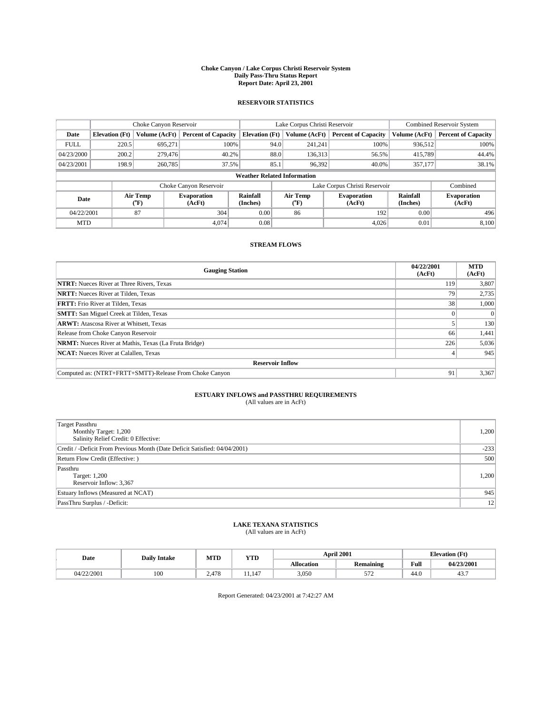#### **Choke Canyon / Lake Corpus Christi Reservoir System Daily Pass-Thru Status Report Report Date: April 23, 2001**

### **RESERVOIR STATISTICS**

|             | Choke Canyon Reservoir             |                  |                              |                       | Lake Corpus Christi Reservoir |                  |                               |                      | <b>Combined Reservoir System</b> |  |  |
|-------------|------------------------------------|------------------|------------------------------|-----------------------|-------------------------------|------------------|-------------------------------|----------------------|----------------------------------|--|--|
| Date        | <b>Elevation</b> (Ft)              | Volume (AcFt)    | <b>Percent of Capacity</b>   | <b>Elevation</b> (Ft) |                               | Volume (AcFt)    | <b>Percent of Capacity</b>    | Volume (AcFt)        | <b>Percent of Capacity</b>       |  |  |
| <b>FULL</b> | 220.5                              | 695,271          | 100%                         |                       | 94.0                          | 241,241          | 100%                          | 936,512              | 100%                             |  |  |
| 04/23/2000  | 200.2                              | 279,476          | 40.2%                        |                       | 88.0                          | 136,313          | 56.5%                         | 415,789              | 44.4%                            |  |  |
| 04/23/2001  | 198.9                              | 260,785          | 37.5%                        |                       | 85.1                          | 96,392           | 40.0%                         | 357,177              | 38.1%                            |  |  |
|             | <b>Weather Related Information</b> |                  |                              |                       |                               |                  |                               |                      |                                  |  |  |
|             |                                    |                  | Choke Canyon Reservoir       |                       |                               |                  | Lake Corpus Christi Reservoir |                      | Combined                         |  |  |
| Date        |                                    | Air Temp<br>(°F) | <b>Evaporation</b><br>(AcFt) | Rainfall<br>(Inches)  |                               | Air Temp<br>("F) | <b>Evaporation</b><br>(AcFt)  | Rainfall<br>(Inches) | <b>Evaporation</b><br>(AcFt)     |  |  |
| 04/22/2001  |                                    | 87               | 304                          | 0.00                  |                               | 86               | 192                           | 0.00                 | 496                              |  |  |
| <b>MTD</b>  |                                    |                  | 4.074                        | 0.08                  |                               |                  | 4,026                         | 0.01                 | 8,100                            |  |  |

### **STREAM FLOWS**

| <b>Gauging Station</b>                                       | 04/22/2001<br>(AcFt) | <b>MTD</b><br>(AcFt) |
|--------------------------------------------------------------|----------------------|----------------------|
| <b>NTRT:</b> Nueces River at Three Rivers, Texas             | 119                  | 3,807                |
| <b>NRTT:</b> Nueces River at Tilden, Texas                   | 79                   | 2,735                |
| <b>FRTT:</b> Frio River at Tilden, Texas                     | 38                   | 1,000                |
| <b>SMTT:</b> San Miguel Creek at Tilden, Texas               |                      |                      |
| <b>ARWT:</b> Atascosa River at Whitsett, Texas               |                      | 130                  |
| Release from Choke Canyon Reservoir                          | 66                   | 1,441                |
| <b>NRMT:</b> Nueces River at Mathis, Texas (La Fruta Bridge) | 226                  | 5,036                |
| <b>NCAT:</b> Nueces River at Calallen, Texas                 |                      | 945                  |
| <b>Reservoir Inflow</b>                                      |                      |                      |
| Computed as: (NTRT+FRTT+SMTT)-Release From Choke Canyon      | 91                   | 3,367                |

# **ESTUARY INFLOWS and PASSTHRU REQUIREMENTS**<br>(All values are in AcFt)

| Target Passthru<br>Monthly Target: 1,200<br>Salinity Relief Credit: 0 Effective: | 1,200  |
|----------------------------------------------------------------------------------|--------|
| Credit / -Deficit From Previous Month (Date Deficit Satisfied: 04/04/2001)       | $-233$ |
| Return Flow Credit (Effective: )                                                 | 500    |
| Passthru<br>Target: 1,200<br>Reservoir Inflow: 3,367                             | 1,200  |
| Estuary Inflows (Measured at NCAT)                                               | 945    |
| PassThru Surplus / -Deficit:                                                     | 12     |

# **LAKE TEXANA STATISTICS** (All values are in AcFt)

| Date       | <b>Daily Intake</b> | MTD          | VTT<br>1 I D     |                   | April 2001       | <b>Elevation</b> (Ft) |            |
|------------|---------------------|--------------|------------------|-------------------|------------------|-----------------------|------------|
|            |                     |              |                  | <b>Allocation</b> | <b>Remaining</b> | Full                  | 04/23/2001 |
| 04/22/2001 | 100                 | A7C<br>4.478 | $\cdot$<br>1.14. | 3,050             | $---$<br>ے اب    | 44.0                  | 43.        |

Report Generated: 04/23/2001 at 7:42:27 AM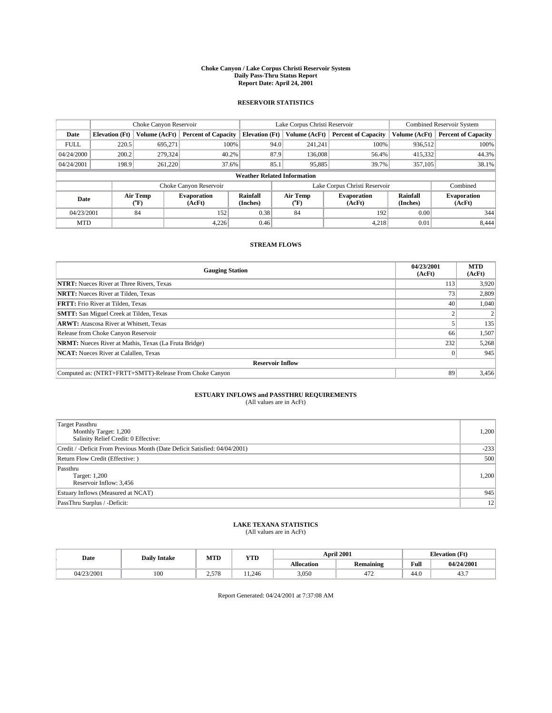#### **Choke Canyon / Lake Corpus Christi Reservoir System Daily Pass-Thru Status Report Report Date: April 24, 2001**

### **RESERVOIR STATISTICS**

|             | Choke Canyon Reservoir             |                  |                              |                             | Lake Corpus Christi Reservoir |        |                               |                      | <b>Combined Reservoir System</b> |  |  |
|-------------|------------------------------------|------------------|------------------------------|-----------------------------|-------------------------------|--------|-------------------------------|----------------------|----------------------------------|--|--|
| Date        | <b>Elevation</b> (Ft)              | Volume (AcFt)    | <b>Percent of Capacity</b>   | <b>Elevation</b> (Ft)       | Volume (AcFt)                 |        | <b>Percent of Capacity</b>    | Volume (AcFt)        | <b>Percent of Capacity</b>       |  |  |
| <b>FULL</b> | 220.5                              | 695,271          | 100%                         |                             | 94.0<br>241,241               |        | 100%                          | 936,512              | 100%                             |  |  |
| 04/24/2000  | 200.2                              | 279,324          | 40.2%                        |                             | 87.9<br>136,008               |        | 56.4%                         | 415,332              | 44.3%                            |  |  |
| 04/24/2001  | 198.9                              | 261.220          | 37.6%                        |                             | 85.1                          | 95,885 | 39.7%                         | 357,105              | 38.1%                            |  |  |
|             | <b>Weather Related Information</b> |                  |                              |                             |                               |        |                               |                      |                                  |  |  |
|             |                                    |                  | Choke Canyon Reservoir       |                             |                               |        | Lake Corpus Christi Reservoir |                      | Combined                         |  |  |
| Date        |                                    | Air Temp<br>(°F) | <b>Evaporation</b><br>(AcFt) | <b>Rainfall</b><br>(Inches) | Air Temp<br>("F)              |        | <b>Evaporation</b><br>(AcFt)  | Rainfall<br>(Inches) | <b>Evaporation</b><br>(AcFt)     |  |  |
| 04/23/2001  |                                    | 84               | 152                          | 0.38                        | 84                            |        | 192                           | 0.00                 | 344                              |  |  |
| <b>MTD</b>  |                                    |                  | 4.226                        | 0.46                        |                               |        | 4,218                         | 0.01                 | 8.444                            |  |  |

### **STREAM FLOWS**

| <b>Gauging Station</b>                                       | 04/23/2001<br>(AcFt) | <b>MTD</b><br>(AcFt) |
|--------------------------------------------------------------|----------------------|----------------------|
| <b>NTRT:</b> Nueces River at Three Rivers, Texas             | 113                  | 3,920                |
| <b>NRTT:</b> Nueces River at Tilden, Texas                   | 73 <sub>1</sub>      | 2,809                |
| <b>FRTT:</b> Frio River at Tilden, Texas                     | 40                   | 1,040                |
| <b>SMTT:</b> San Miguel Creek at Tilden, Texas               |                      |                      |
| <b>ARWT:</b> Atascosa River at Whitsett, Texas               |                      | 135                  |
| Release from Choke Canyon Reservoir                          | 66                   | 1,507                |
| <b>NRMT:</b> Nueces River at Mathis, Texas (La Fruta Bridge) | 232                  | 5,268                |
| <b>NCAT:</b> Nueces River at Calallen, Texas                 |                      | 945                  |
| <b>Reservoir Inflow</b>                                      |                      |                      |
| Computed as: (NTRT+FRTT+SMTT)-Release From Choke Canyon      | 89                   | 3,456                |

# **ESTUARY INFLOWS and PASSTHRU REQUIREMENTS**<br>(All values are in AcFt)

| Target Passthru<br>Monthly Target: 1,200<br>Salinity Relief Credit: 0 Effective: | 1,200  |
|----------------------------------------------------------------------------------|--------|
| Credit / -Deficit From Previous Month (Date Deficit Satisfied: 04/04/2001)       | $-233$ |
| Return Flow Credit (Effective: )                                                 | 500    |
| Passthru<br>Target: 1,200<br>Reservoir Inflow: 3,456                             | 1,200  |
| Estuary Inflows (Measured at NCAT)                                               | 945    |
| PassThru Surplus / -Deficit:                                                     | 12     |

# **LAKE TEXANA STATISTICS** (All values are in AcFt)

| Date       | <b>Daily Intake</b> | MTD   | YTD   |                   | <b>April 2001</b> | <b>Elevation</b> (Ft) |            |
|------------|---------------------|-------|-------|-------------------|-------------------|-----------------------|------------|
|            |                     |       |       | <b>Allocation</b> | <b>Remaining</b>  | Full                  | 04/24/2001 |
| 04/23/2001 | 100                 | 2.578 | 1.246 | 3,050             | $4 - C$<br>414    | $\sim$<br>44.V        | 45         |

Report Generated: 04/24/2001 at 7:37:08 AM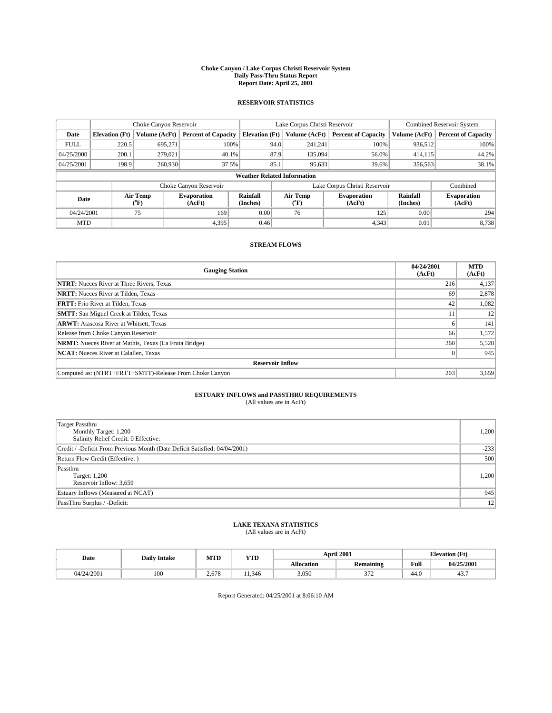#### **Choke Canyon / Lake Corpus Christi Reservoir System Daily Pass-Thru Status Report Report Date: April 25, 2001**

### **RESERVOIR STATISTICS**

|             | Choke Canyon Reservoir             |                  |                              |                       | Lake Corpus Christi Reservoir |                  |                               |                      | <b>Combined Reservoir System</b> |  |  |
|-------------|------------------------------------|------------------|------------------------------|-----------------------|-------------------------------|------------------|-------------------------------|----------------------|----------------------------------|--|--|
| Date        | <b>Elevation</b> (Ft)              | Volume (AcFt)    | <b>Percent of Capacity</b>   | <b>Elevation</b> (Ft) |                               | Volume (AcFt)    | <b>Percent of Capacity</b>    | Volume (AcFt)        | <b>Percent of Capacity</b>       |  |  |
| <b>FULL</b> | 220.5                              | 695,271          | 100%                         |                       | 94.0                          | 241,241          | 100%                          | 936,512              | 100%                             |  |  |
| 04/25/2000  | 200.1                              | 279,021          | 40.1%                        |                       | 87.9                          | 135,094          | 56.0%                         | 414,115              | 44.2%                            |  |  |
| 04/25/2001  | 198.9                              | 260,930          | 37.5%                        |                       | 85.1                          | 95,633           | 39.6%                         | 356,563              | 38.1%                            |  |  |
|             | <b>Weather Related Information</b> |                  |                              |                       |                               |                  |                               |                      |                                  |  |  |
|             |                                    |                  | Choke Canyon Reservoir       |                       |                               |                  | Lake Corpus Christi Reservoir |                      | Combined                         |  |  |
| Date        |                                    | Air Temp<br>(°F) | <b>Evaporation</b><br>(AcFt) | Rainfall<br>(Inches)  |                               | Air Temp<br>("F) | <b>Evaporation</b><br>(AcFt)  | Rainfall<br>(Inches) | <b>Evaporation</b><br>(AcFt)     |  |  |
| 04/24/2001  |                                    | 75               | 169                          | 0.00                  |                               | 76               | 125                           | 0.00                 | 294                              |  |  |
| <b>MTD</b>  |                                    |                  | 4,395                        | 0.46                  |                               |                  | 4,343                         | 0.01                 | 8,738                            |  |  |

### **STREAM FLOWS**

| <b>Gauging Station</b>                                       | 04/24/2001<br>(AcFt) | <b>MTD</b><br>(AcFt) |
|--------------------------------------------------------------|----------------------|----------------------|
| <b>NTRT:</b> Nueces River at Three Rivers, Texas             | 216                  | 4,137                |
| <b>NRTT:</b> Nueces River at Tilden, Texas                   | -69                  | 2,878                |
| <b>FRTT:</b> Frio River at Tilden, Texas                     | 42                   | 1,082                |
| <b>SMTT:</b> San Miguel Creek at Tilden, Texas               | 11                   | 12                   |
| <b>ARWT:</b> Atascosa River at Whitsett, Texas               | <sub>n</sub>         | 141                  |
| Release from Choke Canyon Reservoir                          | 66                   | 1,572                |
| <b>NRMT:</b> Nueces River at Mathis, Texas (La Fruta Bridge) | 260                  | 5,528                |
| <b>NCAT:</b> Nueces River at Calallen, Texas                 |                      | 945                  |
| <b>Reservoir Inflow</b>                                      |                      |                      |
| Computed as: (NTRT+FRTT+SMTT)-Release From Choke Canyon      | 203                  | 3,659                |

# **ESTUARY INFLOWS and PASSTHRU REQUIREMENTS**<br>(All values are in AcFt)

| Target Passthru<br>Monthly Target: 1,200<br>Salinity Relief Credit: 0 Effective: | 1,200  |
|----------------------------------------------------------------------------------|--------|
| Credit / -Deficit From Previous Month (Date Deficit Satisfied: 04/04/2001)       | $-233$ |
| Return Flow Credit (Effective: )                                                 | 500    |
| Passthru<br>Target: 1,200<br>Reservoir Inflow: 3,659                             | 1,200  |
| Estuary Inflows (Measured at NCAT)                                               | 945    |
| PassThru Surplus / -Deficit:                                                     | 12     |

# **LAKE TEXANA STATISTICS** (All values are in AcFt)

| Date       | <b>Daily Intake</b> | MTD   | <b>YTD</b> |                   | <b>April 2001</b> | <b>Elevation</b> (Ft) |            |
|------------|---------------------|-------|------------|-------------------|-------------------|-----------------------|------------|
|            |                     |       |            | <b>Allocation</b> | <b>Remaining</b>  | Full                  | 04/25/2001 |
| 04/24/2001 | 100                 | 2.678 | 1.346      | 3,050             | 272<br>J 1 4      | $\sim$<br>44.V        | 45         |

Report Generated: 04/25/2001 at 8:06:10 AM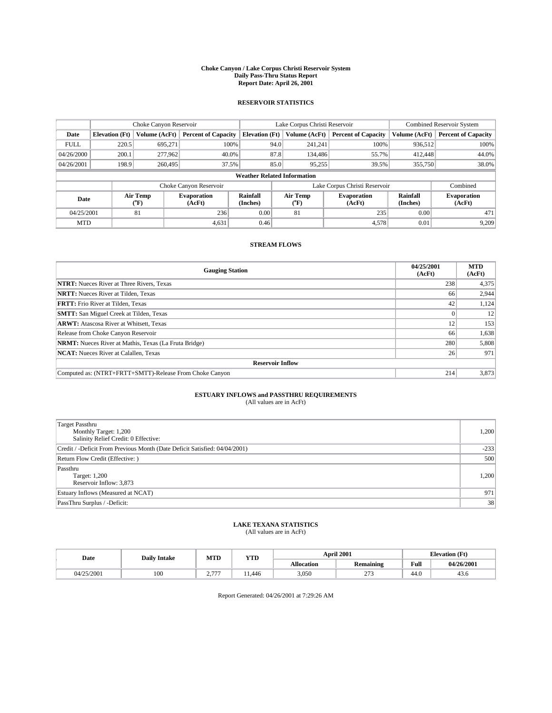#### **Choke Canyon / Lake Corpus Christi Reservoir System Daily Pass-Thru Status Report Report Date: April 26, 2001**

### **RESERVOIR STATISTICS**

|             | Choke Canyon Reservoir             |                  |                              |                       | Lake Corpus Christi Reservoir |                  |                               |                      | <b>Combined Reservoir System</b> |  |  |
|-------------|------------------------------------|------------------|------------------------------|-----------------------|-------------------------------|------------------|-------------------------------|----------------------|----------------------------------|--|--|
| Date        | <b>Elevation</b> (Ft)              | Volume (AcFt)    | <b>Percent of Capacity</b>   | <b>Elevation</b> (Ft) |                               | Volume (AcFt)    | <b>Percent of Capacity</b>    | Volume (AcFt)        | <b>Percent of Capacity</b>       |  |  |
| <b>FULL</b> | 220.5                              | 695,271          | 100%                         |                       | 94.0                          | 241,241          | 100%                          | 936,512              | 100%                             |  |  |
| 04/26/2000  | 200.1                              | 277,962          | 40.0%                        |                       | 87.8                          | 134,486          | 55.7%                         | 412,448              | 44.0%                            |  |  |
| 04/26/2001  | 198.9                              | 260,495          | 37.5%                        |                       | 85.0                          | 95,255           | 39.5%                         | 355,750              | 38.0%                            |  |  |
|             | <b>Weather Related Information</b> |                  |                              |                       |                               |                  |                               |                      |                                  |  |  |
|             |                                    |                  | Choke Canyon Reservoir       |                       |                               |                  | Lake Corpus Christi Reservoir |                      | Combined                         |  |  |
| Date        |                                    | Air Temp<br>(°F) | <b>Evaporation</b><br>(AcFt) | Rainfall<br>(Inches)  |                               | Air Temp<br>("F) | <b>Evaporation</b><br>(AcFt)  | Rainfall<br>(Inches) | <b>Evaporation</b><br>(AcFt)     |  |  |
| 04/25/2001  |                                    | 81               | 236                          | 0.00                  |                               | 81               | 235                           | 0.00                 | 471                              |  |  |
| <b>MTD</b>  |                                    |                  | 4,631                        | 0.46                  |                               |                  | 4,578                         | 0.01                 | 9,209                            |  |  |

### **STREAM FLOWS**

| <b>Gauging Station</b>                                       | 04/25/2001<br>(AcFt) | <b>MTD</b><br>(AcFt) |
|--------------------------------------------------------------|----------------------|----------------------|
| <b>NTRT:</b> Nueces River at Three Rivers, Texas             | 238                  | 4,375                |
| <b>NRTT:</b> Nueces River at Tilden, Texas                   | 66                   | 2,944                |
| <b>FRTT:</b> Frio River at Tilden, Texas                     | 42                   | 1,124                |
| <b>SMTT:</b> San Miguel Creek at Tilden, Texas               |                      | 12                   |
| <b>ARWT:</b> Atascosa River at Whitsett, Texas               | 12                   | 153                  |
| Release from Choke Canyon Reservoir                          | 66                   | 1,638                |
| <b>NRMT:</b> Nueces River at Mathis, Texas (La Fruta Bridge) | 280                  | 5,808                |
| <b>NCAT:</b> Nueces River at Calallen, Texas                 | 26                   | 971                  |
| <b>Reservoir Inflow</b>                                      |                      |                      |
| Computed as: (NTRT+FRTT+SMTT)-Release From Choke Canyon      | 214                  | 3,873                |

# **ESTUARY INFLOWS and PASSTHRU REQUIREMENTS**<br>(All values are in AcFt)

| Target Passthru<br>Monthly Target: 1,200<br>Salinity Relief Credit: 0 Effective: | 1,200  |
|----------------------------------------------------------------------------------|--------|
| Credit / -Deficit From Previous Month (Date Deficit Satisfied: 04/04/2001)       | $-233$ |
| Return Flow Credit (Effective: )                                                 | 500    |
| Passthru<br>Target: 1,200<br>Reservoir Inflow: 3,873                             | 1,200  |
| Estuary Inflows (Measured at NCAT)                                               | 971    |
| PassThru Surplus / -Deficit:                                                     | 38     |

# **LAKE TEXANA STATISTICS** (All values are in AcFt)

| Date       | <b>Daily Intake</b> | MTD                 | <b>YTD</b> |                   | <b>April 2001</b> | <b>Elevation</b> (Ft) |            |
|------------|---------------------|---------------------|------------|-------------------|-------------------|-----------------------|------------|
|            |                     |                     |            | <b>Allocation</b> | <b>Remaining</b>  | Full                  | 04/26/2001 |
| 04/25/2001 | 100                 | $- - -$<br><u>.</u> | 1.446      | 3,050             | 272<br>ن ا ت      | 44.0                  | 43.0       |

Report Generated: 04/26/2001 at 7:29:26 AM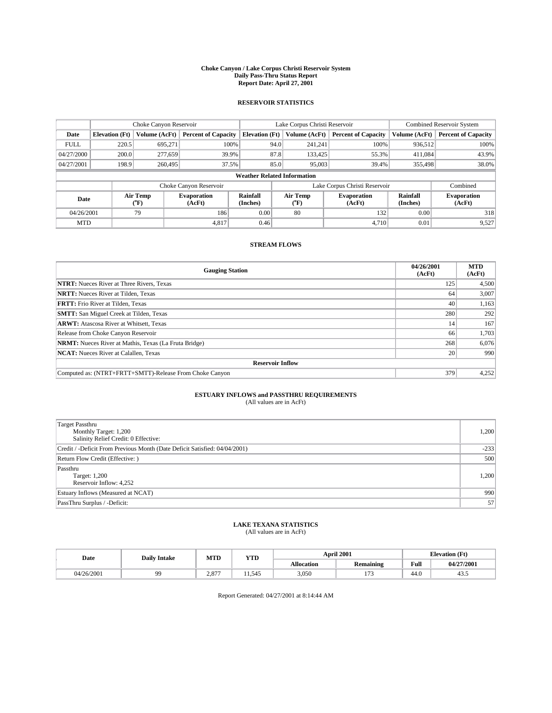#### **Choke Canyon / Lake Corpus Christi Reservoir System Daily Pass-Thru Status Report Report Date: April 27, 2001**

### **RESERVOIR STATISTICS**

|             | Choke Canyon Reservoir             |                             |                              |                             | Lake Corpus Christi Reservoir |                  |                               |                      | <b>Combined Reservoir System</b> |  |  |
|-------------|------------------------------------|-----------------------------|------------------------------|-----------------------------|-------------------------------|------------------|-------------------------------|----------------------|----------------------------------|--|--|
| Date        | <b>Elevation</b> (Ft)              | Volume (AcFt)               | <b>Percent of Capacity</b>   | <b>Elevation</b> (Ft)       |                               | Volume (AcFt)    | <b>Percent of Capacity</b>    | Volume (AcFt)        | <b>Percent of Capacity</b>       |  |  |
| <b>FULL</b> | 220.5                              | 695,271                     | 100%                         |                             | 94.0                          | 241,241          | 100%                          | 936,512              | 100%                             |  |  |
| 04/27/2000  | 200.0                              | 277,659                     | 39.9%                        |                             | 87.8                          | 133,425          | 55.3%                         | 411,084              | 43.9%                            |  |  |
| 04/27/2001  | 198.9                              | 260,495                     | 37.5%                        |                             | 85.0                          | 95,003           | 39.4%                         | 355,498              | 38.0%                            |  |  |
|             | <b>Weather Related Information</b> |                             |                              |                             |                               |                  |                               |                      |                                  |  |  |
|             |                                    |                             | Choke Canyon Reservoir       |                             |                               |                  | Lake Corpus Christi Reservoir |                      | Combined                         |  |  |
| Date        |                                    | Air Temp<br>${}^{\circ}$ F) | <b>Evaporation</b><br>(AcFt) | <b>Rainfall</b><br>(Inches) |                               | Air Temp<br>("F) | <b>Evaporation</b><br>(AcFt)  | Rainfall<br>(Inches) | <b>Evaporation</b><br>(AcFt)     |  |  |
| 04/26/2001  |                                    | 79                          | 186                          | 0.00                        |                               | 80               | 132                           | 0.00                 | 318                              |  |  |
| <b>MTD</b>  |                                    |                             | 4,817                        | 0.46                        |                               |                  | 4.710                         | 0.01                 | 9,527                            |  |  |

### **STREAM FLOWS**

| <b>Gauging Station</b>                                       | 04/26/2001<br>(AcFt) | <b>MTD</b><br>(AcFt) |
|--------------------------------------------------------------|----------------------|----------------------|
| <b>NTRT:</b> Nueces River at Three Rivers, Texas             | 125                  | 4,500                |
| <b>NRTT:</b> Nueces River at Tilden, Texas                   | 64                   | 3,007                |
| <b>FRTT:</b> Frio River at Tilden, Texas                     | 40                   | 1,163                |
| <b>SMTT:</b> San Miguel Creek at Tilden, Texas               | 280                  | 292                  |
| <b>ARWT:</b> Atascosa River at Whitsett, Texas               | 14                   | 167                  |
| Release from Choke Canyon Reservoir                          | 66                   | 1,703                |
| <b>NRMT:</b> Nueces River at Mathis, Texas (La Fruta Bridge) | 268                  | 6,076                |
| <b>NCAT:</b> Nueces River at Calallen, Texas                 | 20                   | 990                  |
| <b>Reservoir Inflow</b>                                      |                      |                      |
| Computed as: (NTRT+FRTT+SMTT)-Release From Choke Canyon      | 379                  | 4,252                |

# **ESTUARY INFLOWS and PASSTHRU REQUIREMENTS**<br>(All values are in AcFt)

| Target Passthru<br>Monthly Target: 1,200<br>Salinity Relief Credit: 0 Effective: | 1,200  |
|----------------------------------------------------------------------------------|--------|
| Credit / -Deficit From Previous Month (Date Deficit Satisfied: 04/04/2001)       | $-233$ |
| Return Flow Credit (Effective: )                                                 | 500    |
| Passthru<br>Target: 1,200<br>Reservoir Inflow: 4,252                             | 1,200  |
| Estuary Inflows (Measured at NCAT)                                               | 990    |
| PassThru Surplus / -Deficit:                                                     | 57     |

# **LAKE TEXANA STATISTICS** (All values are in AcFt)

| Date       | <b>Daily Intake</b> | MTD         | YTD  |                   | <b>April 2001</b> | <b>Elevation</b> (Ft) |            |
|------------|---------------------|-------------|------|-------------------|-------------------|-----------------------|------------|
|            |                     |             |      | <b>Allocation</b> | <b>Remaining</b>  | Full                  | 04/27/2001 |
| 04/26/2001 | $\alpha$            | O77<br>2.81 | .545 | 3,050             | $-$               | $\sim$<br>-44.6       | 45.5       |

Report Generated: 04/27/2001 at 8:14:44 AM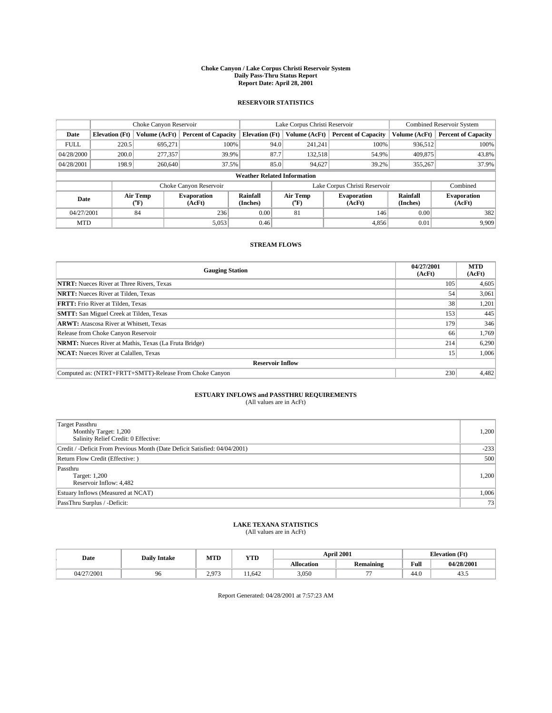#### **Choke Canyon / Lake Corpus Christi Reservoir System Daily Pass-Thru Status Report Report Date: April 28, 2001**

### **RESERVOIR STATISTICS**

|             | Choke Canyon Reservoir             |                  |                              |                       | Lake Corpus Christi Reservoir | <b>Combined Reservoir System</b> |                      |                              |  |
|-------------|------------------------------------|------------------|------------------------------|-----------------------|-------------------------------|----------------------------------|----------------------|------------------------------|--|
| Date        | <b>Elevation</b> (Ft)              | Volume (AcFt)    | <b>Percent of Capacity</b>   | <b>Elevation</b> (Ft) | Volume (AcFt)                 | <b>Percent of Capacity</b>       | Volume (AcFt)        | <b>Percent of Capacity</b>   |  |
| <b>FULL</b> | 220.5                              | 695,271          | 100%                         |                       | 94.0<br>241,241               | 100%                             | 936,512              | 100%                         |  |
| 04/28/2000  | 200.0                              | 277,357          | 39.9%                        |                       | 87.7<br>132,518               | 54.9%                            | 409,875              | 43.8%                        |  |
| 04/28/2001  | 198.9                              | 260,640          | 37.5%                        |                       | 85.0<br>94,627                | 39.2%                            | 355,267              | 37.9%                        |  |
|             | <b>Weather Related Information</b> |                  |                              |                       |                               |                                  |                      |                              |  |
|             |                                    |                  | Choke Canyon Reservoir       |                       |                               | Lake Corpus Christi Reservoir    |                      | Combined                     |  |
| Date        |                                    | Air Temp<br>(°F) | <b>Evaporation</b><br>(AcFt) | Rainfall<br>(Inches)  | Air Temp<br>("F)              | <b>Evaporation</b><br>(AcFt)     | Rainfall<br>(Inches) | <b>Evaporation</b><br>(AcFt) |  |
| 04/27/2001  |                                    | 84               | 236                          | 0.00                  | 81                            | 146                              | 0.00                 | 382                          |  |
| <b>MTD</b>  |                                    |                  | 5,053                        | 0.46                  |                               | 4,856                            | 0.01                 | 9,909                        |  |

### **STREAM FLOWS**

| <b>Gauging Station</b>                                       | 04/27/2001<br>(AcFt) | <b>MTD</b><br>(AcFt) |  |  |  |  |
|--------------------------------------------------------------|----------------------|----------------------|--|--|--|--|
| <b>NTRT:</b> Nueces River at Three Rivers, Texas             | 105                  | 4,605                |  |  |  |  |
| <b>NRTT:</b> Nueces River at Tilden, Texas                   | 54                   | 3,061                |  |  |  |  |
| <b>FRTT:</b> Frio River at Tilden, Texas                     | 38                   | 1,201                |  |  |  |  |
| <b>SMTT:</b> San Miguel Creek at Tilden, Texas               | 153                  | 445                  |  |  |  |  |
| <b>ARWT:</b> Atascosa River at Whitsett, Texas               | 179                  | 346                  |  |  |  |  |
| Release from Choke Canyon Reservoir                          | 66                   | 1,769                |  |  |  |  |
| <b>NRMT:</b> Nueces River at Mathis, Texas (La Fruta Bridge) | 214                  | 6,290                |  |  |  |  |
| <b>NCAT:</b> Nueces River at Calallen, Texas                 | 15                   | 1,006                |  |  |  |  |
| <b>Reservoir Inflow</b>                                      |                      |                      |  |  |  |  |
| Computed as: (NTRT+FRTT+SMTT)-Release From Choke Canyon      | 230                  | 4,482                |  |  |  |  |

# **ESTUARY INFLOWS and PASSTHRU REQUIREMENTS**<br>(All values are in AcFt)

| Target Passthru<br>Monthly Target: 1,200<br>Salinity Relief Credit: 0 Effective: | 1,200  |
|----------------------------------------------------------------------------------|--------|
| Credit / -Deficit From Previous Month (Date Deficit Satisfied: 04/04/2001)       | $-233$ |
| Return Flow Credit (Effective: )                                                 | 500    |
| Passthru<br>Target: 1,200<br>Reservoir Inflow: 4,482                             | 1,200  |
| Estuary Inflows (Measured at NCAT)                                               | 1,006  |
| PassThru Surplus / -Deficit:                                                     | 73     |

# **LAKE TEXANA STATISTICS** (All values are in AcFt)

| Date       | <b>Daily Intake</b> | MTD        | YTD  |                   | <b>April 2001</b> | <b>Elevation</b> (Ft) |            |
|------------|---------------------|------------|------|-------------------|-------------------|-----------------------|------------|
|            |                     |            |      | <b>Allocation</b> | <b>Remaining</b>  | Full                  | 04/28/2001 |
| 04/27/2001 | 06<br>2V.           | $2.97^{6}$ | .642 | 3,050             | $-1$              | $\sim$<br>44.V        | 45.5       |

Report Generated: 04/28/2001 at 7:57:23 AM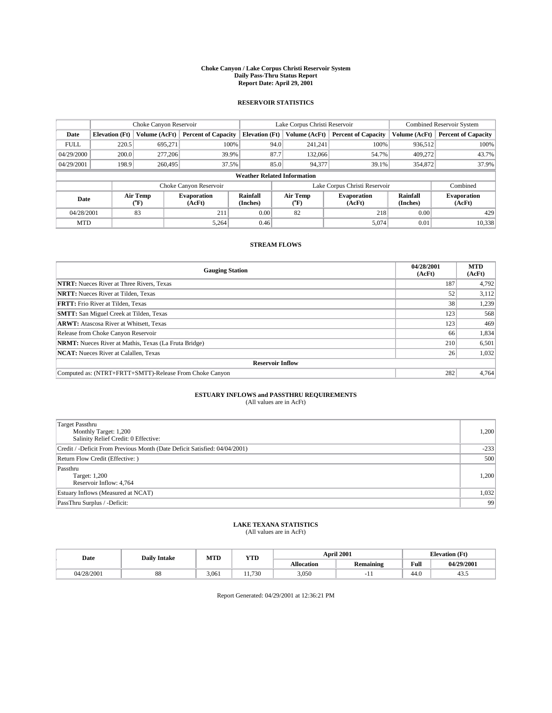#### **Choke Canyon / Lake Corpus Christi Reservoir System Daily Pass-Thru Status Report Report Date: April 29, 2001**

### **RESERVOIR STATISTICS**

|                                    | Choke Canyon Reservoir |                  |                              |                       | Lake Corpus Christi Reservoir |                  |                               |                      | <b>Combined Reservoir System</b> |  |
|------------------------------------|------------------------|------------------|------------------------------|-----------------------|-------------------------------|------------------|-------------------------------|----------------------|----------------------------------|--|
| Date                               | <b>Elevation</b> (Ft)  | Volume (AcFt)    | <b>Percent of Capacity</b>   | <b>Elevation</b> (Ft) |                               | Volume (AcFt)    | <b>Percent of Capacity</b>    | Volume (AcFt)        | <b>Percent of Capacity</b>       |  |
| <b>FULL</b>                        | 220.5                  | 695,271          | 100%                         |                       | 94.0                          | 241,241          | 100%                          | 936,512              | 100%                             |  |
| 04/29/2000                         | 200.0                  | 277,206          | 39.9%                        |                       | 87.7                          | 132,066          | 54.7%                         | 409.272              | 43.7%                            |  |
| 04/29/2001                         | 198.9                  | 260,495          | 37.5%                        |                       | 85.0                          | 94,377           | 39.1%                         | 354,872              | 37.9%                            |  |
| <b>Weather Related Information</b> |                        |                  |                              |                       |                               |                  |                               |                      |                                  |  |
|                                    |                        |                  | Choke Canyon Reservoir       |                       |                               |                  | Lake Corpus Christi Reservoir |                      | Combined                         |  |
| Date                               |                        | Air Temp<br>(°F) | <b>Evaporation</b><br>(AcFt) | Rainfall<br>(Inches)  |                               | Air Temp<br>("F) | <b>Evaporation</b><br>(AcFt)  | Rainfall<br>(Inches) | <b>Evaporation</b><br>(AcFt)     |  |
| 04/28/2001                         |                        | 83               | 211                          | 0.00                  |                               | 82               | 218                           | 0.00                 | 429                              |  |
| <b>MTD</b>                         |                        |                  | 5,264                        | 0.46                  |                               |                  | 5,074                         | 0.01                 | 10,338                           |  |

### **STREAM FLOWS**

| <b>Gauging Station</b>                                       | 04/28/2001<br>(AcFt) | <b>MTD</b><br>(AcFt) |  |  |  |  |
|--------------------------------------------------------------|----------------------|----------------------|--|--|--|--|
| <b>NTRT:</b> Nueces River at Three Rivers, Texas             | 187                  | 4,792                |  |  |  |  |
| <b>NRTT:</b> Nueces River at Tilden, Texas                   | 52                   | 3.112                |  |  |  |  |
| <b>FRTT:</b> Frio River at Tilden, Texas                     | 38                   | 1,239                |  |  |  |  |
| <b>SMTT:</b> San Miguel Creek at Tilden, Texas               | 123                  | 568                  |  |  |  |  |
| <b>ARWT:</b> Atascosa River at Whitsett, Texas               | 123                  | 469                  |  |  |  |  |
| Release from Choke Canyon Reservoir                          | 66                   | 1,834                |  |  |  |  |
| <b>NRMT:</b> Nueces River at Mathis, Texas (La Fruta Bridge) | 210                  | 6,501                |  |  |  |  |
| <b>NCAT:</b> Nueces River at Calallen, Texas                 | 26 <sub>1</sub>      | 1,032                |  |  |  |  |
| <b>Reservoir Inflow</b>                                      |                      |                      |  |  |  |  |
| Computed as: (NTRT+FRTT+SMTT)-Release From Choke Canyon      | 282                  | 4,764                |  |  |  |  |

# **ESTUARY INFLOWS and PASSTHRU REQUIREMENTS**<br>(All values are in AcFt)

| Target Passthru<br>Monthly Target: 1,200<br>Salinity Relief Credit: 0 Effective: | 1,200  |
|----------------------------------------------------------------------------------|--------|
| Credit / -Deficit From Previous Month (Date Deficit Satisfied: 04/04/2001)       | $-233$ |
| Return Flow Credit (Effective: )                                                 | 500    |
| Passthru<br>Target: 1,200<br>Reservoir Inflow: 4,764                             | 1,200  |
| Estuary Inflows (Measured at NCAT)                                               | 1,032  |
| PassThru Surplus / -Deficit:                                                     | -99    |

# **LAKE TEXANA STATISTICS** (All values are in AcFt)

| Date       | <b>Daily Intake</b> | MTD   | YTD  |                   | <b>April 2001</b> | <b>Elevation</b> (Ft) |            |
|------------|---------------------|-------|------|-------------------|-------------------|-----------------------|------------|
|            |                     |       |      | <b>Allocation</b> | <b>Remaining</b>  | Full                  | 04/29/2001 |
| 04/28/2001 | 88                  | 3.061 | .730 | 3,050             | -<br>. .          | $\sim$<br>44.O        | 43.5       |

Report Generated: 04/29/2001 at 12:36:21 PM